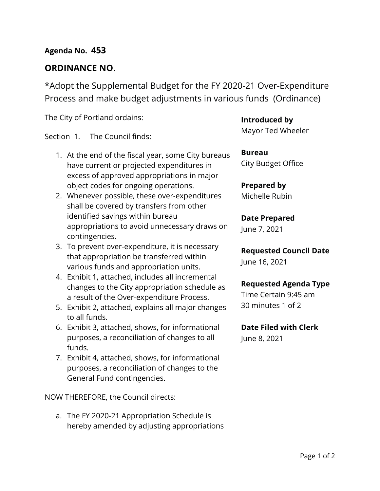### **Agenda No. 453**

### **ORDINANCE NO.**

\*Adopt the Supplemental Budget for the FY 2020-21 Over-Expenditure Process and make budget adjustments in various funds (Ordinance)

The City of Portland ordains:

Section 1. The Council finds:

- 1. At the end of the fiscal year, some City bureaus have current or projected expenditures in excess of approved appropriations in major object codes for ongoing operations.
- 2. Whenever possible, these over-expenditures shall be covered by transfers from other identified savings within bureau appropriations to avoid unnecessary draws on contingencies.
- 3. To prevent over-expenditure, it is necessary that appropriation be transferred within various funds and appropriation units.
- 4. Exhibit 1, attached, includes all incremental changes to the City appropriation schedule as a result of the Over-expenditure Process.
- 5. Exhibit 2, attached, explains all major changes to all funds.
- 6. Exhibit 3, attached, shows, for informational purposes, a reconciliation of changes to all funds.
- 7. Exhibit 4, attached, shows, for informational purposes, a reconciliation of changes to the General Fund contingencies.

NOW THEREFORE, the Council directs:

a. The FY 2020-21 Appropriation Schedule is hereby amended by adjusting appropriations **Introduced by**

Mayor Ted Wheeler

**Bureau** City Budget Office

### **Prepared by**

Michelle Rubin

#### **Date Prepared**

June 7, 2021

**Requested Council Date** June 16, 2021

#### **Requested Agenda Type**

Time Certain 9:45 am 30 minutes 1 of 2

### **Date Filed with Clerk**

June 8, 2021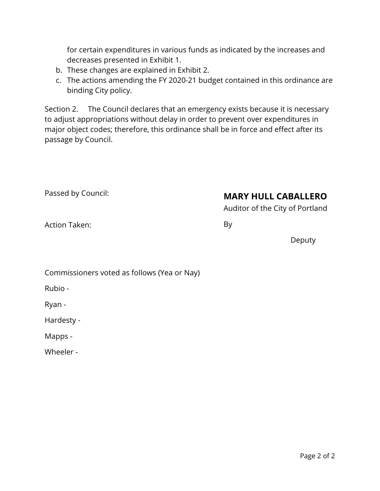for certain expenditures in various funds as indicated by the increases and decreases presented in Exhibit 1.

- b. These changes are explained in Exhibit 2.
- c. The actions amending the FY 2020-21 budget contained in this ordinance are binding City policy.

Section 2. The Council declares that an emergency exists because it is necessary to adjust appropriations without delay in order to prevent over expenditures in major object codes; therefore, this ordinance shall be in force and effect after its passage by Council.

| Passed by Council: | <b>MARY HULL CABALLERO</b>      |
|--------------------|---------------------------------|
|                    | Auditor of the City of Portland |

Auditor of the City of Portland

Action Taken:

By

Deputy

Commissioners voted as follows (Yea or Nay)

Rubio -

Ryan -

Hardesty -

Mapps -

Wheeler -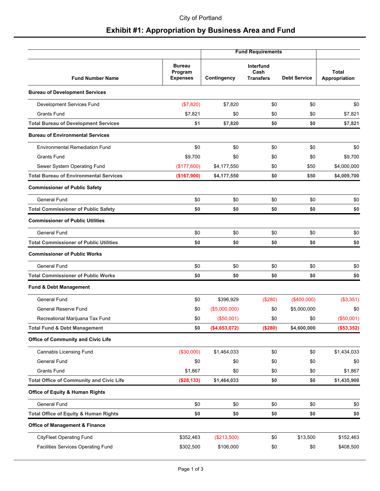### **Exhibit #1: Appropriation by Business Area and Fund**

|                                                  |                                             | <b>Fund Requirements</b> |                                       |                     |                               |  |  |
|--------------------------------------------------|---------------------------------------------|--------------------------|---------------------------------------|---------------------|-------------------------------|--|--|
| <b>Fund Number Name</b>                          | <b>Bureau</b><br>Program<br><b>Expenses</b> | Contingency              | Interfund<br>Cash<br><b>Transfers</b> | <b>Debt Service</b> | <b>Total</b><br>Appropriation |  |  |
| <b>Bureau of Development Services</b>            |                                             |                          |                                       |                     |                               |  |  |
| Development Services Fund                        | (\$7,820)                                   | \$7,820                  | \$0                                   | \$0                 | \$0                           |  |  |
| <b>Grants Fund</b>                               | \$7,821                                     | \$0                      | \$0                                   | \$0                 | \$7,821                       |  |  |
| <b>Total Bureau of Development Services</b>      | \$1                                         | \$7,820                  | \$0                                   | \$0                 | \$7,821                       |  |  |
| <b>Bureau of Environmental Services</b>          |                                             |                          |                                       |                     |                               |  |  |
| <b>Environmental Remediation Fund</b>            | \$0                                         | \$0                      | \$0                                   | \$0                 | \$0                           |  |  |
| <b>Grants Fund</b>                               | \$9,700                                     | \$0                      | \$0                                   | \$0                 | \$9,700                       |  |  |
| Sewer System Operating Fund                      | (\$177,600)                                 | \$4,177,550              | \$0                                   | \$50                | \$4,000,000                   |  |  |
| <b>Total Bureau of Environmental Services</b>    | (\$167,900)                                 | \$4,177,550              | \$0                                   | \$50                | \$4,009,700                   |  |  |
| <b>Commissioner of Public Safety</b>             |                                             |                          |                                       |                     |                               |  |  |
| <b>General Fund</b>                              | \$0                                         | \$0                      | \$0                                   | \$0                 | \$0                           |  |  |
| <b>Total Commissioner of Public Safety</b>       | \$0                                         | \$0                      | \$0                                   | \$0                 | \$0                           |  |  |
| <b>Commissioner of Public Utilities</b>          |                                             |                          |                                       |                     |                               |  |  |
| General Fund                                     | \$0                                         | \$0                      | \$0                                   | \$0                 | \$0                           |  |  |
| <b>Total Commissioner of Public Utilities</b>    | \$0                                         | \$0                      | \$0                                   | \$0                 | \$0                           |  |  |
| <b>Commissioner of Public Works</b>              |                                             |                          |                                       |                     |                               |  |  |
| <b>General Fund</b>                              | \$0                                         | \$0                      | \$0                                   | \$0                 | \$0                           |  |  |
| <b>Total Commissioner of Public Works</b>        | \$0                                         | \$0                      | \$0                                   | \$0                 | \$0                           |  |  |
| <b>Fund &amp; Debt Management</b>                |                                             |                          |                                       |                     |                               |  |  |
| <b>General Fund</b>                              | \$0                                         | \$396,929                | (\$280)                               | (\$400,000)         | (\$3,351)                     |  |  |
| General Reserve Fund                             | \$0                                         | (\$5,000,000)            | \$0                                   | \$5,000,000         | \$0                           |  |  |
| Recreational Marijuana Tax Fund                  | \$0                                         | (\$50,001)               | \$0                                   | \$0                 | (\$50,001)                    |  |  |
| <b>Total Fund &amp; Debt Management</b>          | \$0                                         | (\$4,653,072)            | (\$280)                               | \$4,600,000         | (\$53,352)                    |  |  |
| <b>Office of Community and Civic Life</b>        |                                             |                          |                                       |                     |                               |  |  |
| Cannabis Licensing Fund                          | (\$30,000)                                  | \$1,464,033              | \$0                                   | \$0                 | \$1,434,033                   |  |  |
| General Fund                                     | \$0                                         | \$0                      | \$0                                   | \$0                 | \$0                           |  |  |
| <b>Grants Fund</b>                               | \$1,867                                     | \$0                      | \$0                                   | \$0                 | \$1,867                       |  |  |
| <b>Total Office of Community and Civic Life</b>  | (\$28,133)                                  | \$1,464,033              | \$0                                   | \$0                 | \$1,435,900                   |  |  |
| <b>Office of Equity &amp; Human Rights</b>       |                                             |                          |                                       |                     |                               |  |  |
| General Fund                                     | \$0                                         | \$0                      | \$0                                   | \$0                 | \$0                           |  |  |
| <b>Total Office of Equity &amp; Human Rights</b> | \$0                                         | \$0                      | \$0                                   | \$0                 | \$0                           |  |  |
| <b>Office of Management &amp; Finance</b>        |                                             |                          |                                       |                     |                               |  |  |
| <b>CityFleet Operating Fund</b>                  | \$352,463                                   | (\$213,500)              | \$0                                   | \$13,500            | \$152,463                     |  |  |
| Facilities Services Operating Fund               | \$302,500                                   | \$106,000                | \$0                                   | \$0                 | \$408,500                     |  |  |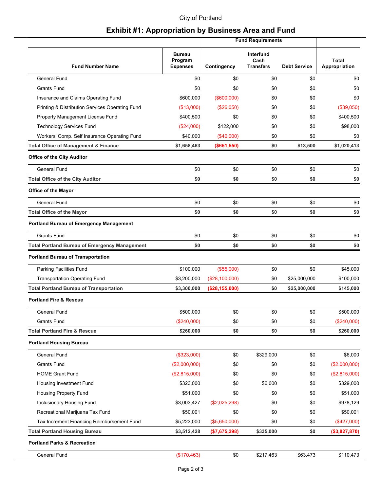#### City of Portland

### **Exhibit #1: Appropriation by Business Area and Fund**

|                                                      |                                             | <b>Fund Requirements</b> |                                              |                     |                               |
|------------------------------------------------------|---------------------------------------------|--------------------------|----------------------------------------------|---------------------|-------------------------------|
| <b>Fund Number Name</b>                              | <b>Bureau</b><br>Program<br><b>Expenses</b> | Contingency              | <b>Interfund</b><br>Cash<br><b>Transfers</b> | <b>Debt Service</b> | <b>Total</b><br>Appropriation |
| <b>General Fund</b>                                  | \$0                                         | \$0                      | \$0                                          | \$0                 | \$0                           |
| <b>Grants Fund</b>                                   | \$0                                         | \$0                      | \$0                                          | \$0                 | \$0                           |
| Insurance and Claims Operating Fund                  | \$600,000                                   | $($ \$600,000)           | \$0                                          | \$0                 | \$0                           |
| Printing & Distribution Services Operating Fund      | (\$13,000)                                  | $(\$26,050)$             | \$0                                          | \$0                 | (\$39,050)                    |
| Property Management License Fund                     | \$400,500                                   | \$0                      | \$0                                          | \$0                 | \$400,500                     |
| <b>Technology Services Fund</b>                      | $(\$24,000)$                                | \$122,000                | \$0                                          | \$0                 | \$98,000                      |
| Workers' Comp. Self Insurance Operating Fund         | \$40,000                                    | $(\$40,000)$             | \$0                                          | \$0                 | \$0                           |
| <b>Total Office of Management &amp; Finance</b>      | \$1,658,463                                 | (\$651,550)              | \$0                                          | \$13,500            | \$1,020,413                   |
| <b>Office of the City Auditor</b>                    |                                             |                          |                                              |                     |                               |
| <b>General Fund</b>                                  | \$0                                         | \$0                      | \$0                                          | \$0                 | \$0                           |
| <b>Total Office of the City Auditor</b>              | \$0                                         | \$0                      | \$0                                          | \$0                 | \$0                           |
| <b>Office of the Mayor</b>                           |                                             |                          |                                              |                     |                               |
| General Fund                                         | \$0                                         | \$0                      | \$0                                          | \$0                 | \$0                           |
| <b>Total Office of the Mayor</b>                     | \$0                                         | \$0                      | \$0                                          | \$0                 | \$0                           |
| <b>Portland Bureau of Emergency Management</b>       |                                             |                          |                                              |                     |                               |
| <b>Grants Fund</b>                                   | \$0                                         | \$0                      | \$0                                          | \$0                 | \$0                           |
| <b>Total Portland Bureau of Emergency Management</b> | \$0                                         | \$0                      | \$0                                          | \$0                 | \$0                           |
| <b>Portland Bureau of Transportation</b>             |                                             |                          |                                              |                     |                               |
| Parking Facilities Fund                              | \$100,000                                   | (\$55,000)               | \$0                                          | \$0                 | \$45,000                      |
| <b>Transportation Operating Fund</b>                 | \$3,200,000                                 | (\$28,100,000)           | \$0                                          | \$25,000,000        | \$100,000                     |
| <b>Total Portland Bureau of Transportation</b>       | \$3,300,000                                 | (\$28,155,000)           | \$0                                          | \$25,000,000        | \$145,000                     |
| <b>Portland Fire &amp; Rescue</b>                    |                                             |                          |                                              |                     |                               |
| General Fund                                         | \$500,000                                   | \$0                      | \$0                                          | \$0                 | \$500,000                     |
| <b>Grants Fund</b>                                   | (\$240,000)                                 | \$0                      | \$0                                          | \$0                 | (\$240,000)                   |
| <b>Total Portland Fire &amp; Rescue</b>              | \$260,000                                   | \$0                      | \$0                                          | \$0                 | \$260,000                     |
| <b>Portland Housing Bureau</b>                       |                                             |                          |                                              |                     |                               |
| General Fund                                         | (\$323,000)                                 | \$0                      | \$329,000                                    | \$0                 | \$6,000                       |
| <b>Grants Fund</b>                                   | (\$2,000,000)                               | \$0                      | \$0                                          | \$0                 | (\$2,000,000)                 |
| <b>HOME Grant Fund</b>                               | (\$2,815,000)                               | \$0                      | \$0                                          | \$0                 | (\$2,815,000)                 |
| Housing Investment Fund                              | \$323,000                                   | \$0                      | \$6,000                                      | \$0                 | \$329,000                     |
| Housing Property Fund                                | \$51,000                                    | \$0                      | \$0                                          | \$0                 | \$51,000                      |
| Inclusionary Housing Fund                            | \$3,003,427                                 | (\$2,025,298)            | \$0                                          | \$0                 | \$978,129                     |
| Recreational Marijuana Tax Fund                      | \$50,001                                    | \$0                      | \$0                                          | \$0                 | \$50,001                      |
| Tax Increment Financing Reimbursement Fund           | \$5,223,000                                 | (\$5,650,000)            | \$0                                          | \$0                 | (\$427,000)                   |
| <b>Total Portland Housing Bureau</b>                 | \$3,512,428                                 | (\$7,675,298)            | \$335,000                                    | \$0                 | (\$3,827,870)                 |
| <b>Portland Parks &amp; Recreation</b>               |                                             |                          |                                              |                     |                               |
| General Fund                                         | (\$170,463)                                 | \$0                      | \$217,463                                    | \$63,473            | \$110,473                     |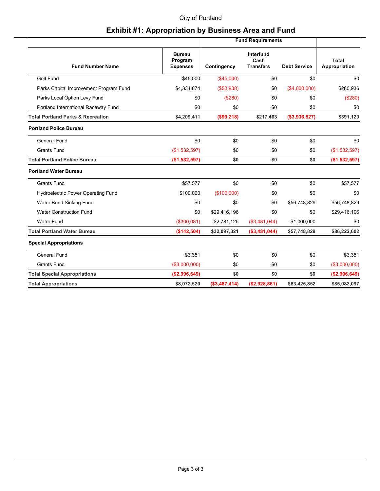#### City of Portland

### **Exhibit #1: Appropriation by Business Area and Fund**

|                                              | <b>Fund Requirements</b>                    |                |                                       |                     |                               |
|----------------------------------------------|---------------------------------------------|----------------|---------------------------------------|---------------------|-------------------------------|
| <b>Fund Number Name</b>                      | <b>Bureau</b><br>Program<br><b>Expenses</b> | Contingency    | Interfund<br>Cash<br><b>Transfers</b> | <b>Debt Service</b> | <b>Total</b><br>Appropriation |
| Golf Fund                                    | \$45,000                                    | (\$45,000)     | \$0                                   | \$0                 | \$0                           |
| Parks Capital Improvement Program Fund       | \$4,334,874                                 | (\$53,938)     | \$0                                   | (\$4,000,000)       | \$280,936                     |
| Parks Local Option Levy Fund                 | \$0                                         | (\$280)        | \$0                                   | \$0                 | (\$280)                       |
| Portland International Raceway Fund          | \$0                                         | \$0            | \$0                                   | \$0                 | \$0                           |
| <b>Total Portland Parks &amp; Recreation</b> | \$4,209,411                                 | (\$99,218)     | \$217,463                             | (\$3,936,527)       | \$391,129                     |
| <b>Portland Police Bureau</b>                |                                             |                |                                       |                     |                               |
| <b>General Fund</b>                          | \$0                                         | \$0            | \$0                                   | \$0                 | \$0                           |
| <b>Grants Fund</b>                           | (\$1,532,597)                               | \$0            | \$0                                   | \$0                 | (\$1,532,597)                 |
| <b>Total Portland Police Bureau</b>          | (\$1,532,597)                               | \$0            | \$0                                   | \$0                 | (\$1,532,597)                 |
| <b>Portland Water Bureau</b>                 |                                             |                |                                       |                     |                               |
| <b>Grants Fund</b>                           | \$57,577                                    | \$0            | \$0                                   | \$0                 | \$57,577                      |
| <b>Hydroelectric Power Operating Fund</b>    | \$100,000                                   | (\$100,000)    | \$0                                   | \$0                 | \$0                           |
| Water Bond Sinking Fund                      | \$0                                         | \$0            | \$0                                   | \$56,748,829        | \$56,748,829                  |
| <b>Water Construction Fund</b>               | \$0                                         | \$29,416,196   | \$0                                   | \$0                 | \$29,416,196                  |
| <b>Water Fund</b>                            | (\$300,081)                                 | \$2,781,125    | (\$3,481,044)                         | \$1,000,000         | \$0                           |
| <b>Total Portland Water Bureau</b>           | (\$142,504)                                 | \$32,097,321   | ( \$3,481,044)                        | \$57,748,829        | \$86,222,602                  |
| <b>Special Appropriations</b>                |                                             |                |                                       |                     |                               |
| General Fund                                 | \$3,351                                     | \$0            | \$0                                   | \$0                 | \$3,351                       |
| <b>Grants Fund</b>                           | ( \$3,000,000)                              | \$0            | \$0                                   | \$0                 | (\$3,000,000)                 |
| <b>Total Special Appropriations</b>          | ( \$2,996,649)                              | \$0            | \$0                                   | \$0                 | (\$2,996,649)                 |
| <b>Total Appropriations</b>                  | \$8,072,520                                 | $(*3,487,414)$ | (\$2,928,861)                         | \$83,425,852        | \$85,082,097                  |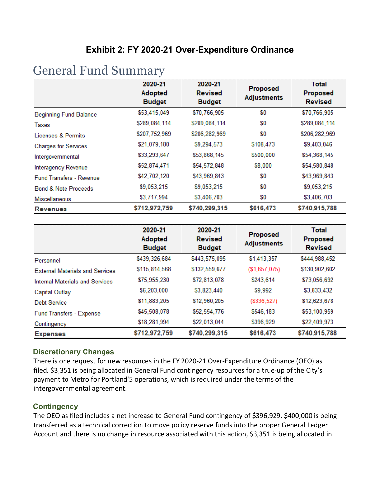### **Exhibit 2: FY 2020-21 Over-Expenditure Ordinance**

# General Fund Summary

|                                 | 2020-21<br><b>Adopted</b><br><b>Budget</b> | 2020-21<br><b>Revised</b><br><b>Budget</b> | <b>Proposed</b><br><b>Adjustments</b> | <b>Total</b><br>Proposed<br><b>Revised</b> |
|---------------------------------|--------------------------------------------|--------------------------------------------|---------------------------------------|--------------------------------------------|
| <b>Beginning Fund Balance</b>   | \$53,415,049                               | \$70,766,905                               | \$0                                   | \$70,766,905                               |
| Taxes                           | \$289,084,114                              | \$289,084,114                              | \$0                                   | \$289,084,114                              |
| Licenses & Permits              | \$207,752,969                              | \$206,282,969                              | \$0                                   | \$206,282,969                              |
| <b>Charges for Services</b>     | \$21,079,180                               | \$9,294,573                                | \$108,473                             | \$9,403,046                                |
| Intergovernmental               | \$33,293,647                               | \$53,868,145                               | \$500,000                             | \$54,368,145                               |
| Interagency Revenue             | \$52,874,471                               | \$54,572,848                               | \$8,000                               | \$54,580,848                               |
| <b>Fund Transfers - Revenue</b> | \$42,702,120                               | \$43,969,843                               | \$0                                   | \$43,969,843                               |
| <b>Bond &amp; Note Proceeds</b> | \$9,053,215                                | \$9,053,215                                | \$0                                   | \$9,053,215                                |
| <b>Miscellaneous</b>            | \$3,717,994                                | \$3,406,703                                | \$0                                   | \$3,406,703                                |
| <b>Revenues</b>                 | \$712,972,759                              | \$740,299,315                              | \$616,473                             | \$740,915,788                              |

|                                        | 2020-21<br><b>Adopted</b><br><b>Budget</b> | 2020-21<br><b>Revised</b><br><b>Budget</b> | Proposed<br><b>Adjustments</b> | <b>Total</b><br>Proposed<br><b>Revised</b> |
|----------------------------------------|--------------------------------------------|--------------------------------------------|--------------------------------|--------------------------------------------|
| Personnel                              | \$439,326,684                              | \$443,575,095                              | \$1,413,357                    | \$444,988,452                              |
| <b>External Materials and Services</b> | \$115,814,568                              | \$132,559,677                              | (\$1,657,075)                  | \$130,902,602                              |
| <b>Internal Materials and Services</b> | \$75,955,230                               | \$72,813,078                               | \$243,614                      | \$73,056,692                               |
| Capital Outlay                         | \$6,203,000                                | \$3,823,440                                | \$9,992                        | \$3,833,432                                |
| Debt Service                           | \$11,883,205                               | \$12,960,205                               | ( \$336, 527)                  | \$12,623,678                               |
| Fund Transfers - Expense               | \$45,508,078                               | \$52,554,776                               | \$546,183                      | \$53,100,959                               |
| Contingency                            | \$18,281,994                               | \$22,013,044                               | \$396,929                      | \$22,409,973                               |
| <b>Expenses</b>                        | \$712,972,759                              | \$740,299,315                              | \$616,473                      | \$740,915,788                              |

#### **Discretionary Changes**

There is one request for new resources in the FY 2020-21 Over-Expenditure Ordinance (OEO) as filed. \$3,351 is being allocated in General Fund contingency resources for a true-up of the City's payment to Metro for Portland'5 operations, which is required under the terms of the intergovernmental agreement.

#### **Contingency**

The OEO as filed includes a net increase to General Fund contingency of \$396,929. \$400,000 is being transferred as a technical correction to move policy reserve funds into the proper General Ledger Account and there is no change in resource associated with this action, \$3,351 is being allocated in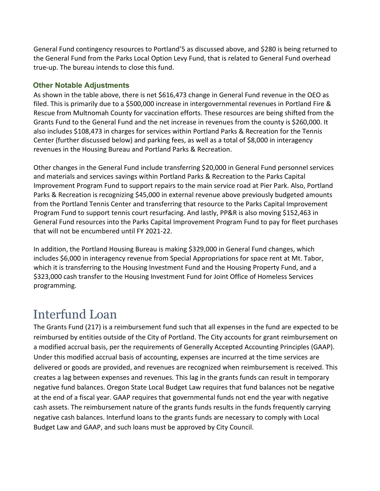General Fund contingency resources to Portland'5 as discussed above, and \$280 is being returned to the General Fund from the Parks Local Option Levy Fund, that is related to General Fund overhead true-up. The bureau intends to close this fund.

#### **Other Notable Adjustments**

As shown in the table above, there is net \$616,473 change in General Fund revenue in the OEO as filed. This is primarily due to a \$500,000 increase in intergovernmental revenues in Portland Fire & Rescue from Multnomah County for vaccination efforts. These resources are being shifted from the Grants Fund to the General Fund and the net increase in revenues from the county is \$260,000. It also includes \$108,473 in charges for services within Portland Parks & Recreation for the Tennis Center (further discussed below) and parking fees, as well as a total of \$8,000 in interagency revenues in the Housing Bureau and Portland Parks & Recreation.

Other changes in the General Fund include transferring \$20,000 in General Fund personnel services and materials and services savings within Portland Parks & Recreation to the Parks Capital Improvement Program Fund to support repairs to the main service road at Pier Park. Also, Portland Parks & Recreation is recognizing \$45,000 in external revenue above previously budgeted amounts from the Portland Tennis Center and transferring that resource to the Parks Capital Improvement Program Fund to support tennis court resurfacing. And lastly, PP&R is also moving \$152,463 in General Fund resources into the Parks Capital Improvement Program Fund to pay for fleet purchases that will not be encumbered until FY 2021-22.

In addition, the Portland Housing Bureau is making \$329,000 in General Fund changes, which includes \$6,000 in interagency revenue from Special Appropriations for space rent at Mt. Tabor, which it is transferring to the Housing Investment Fund and the Housing Property Fund, and a \$323,000 cash transfer to the Housing Investment Fund for Joint Office of Homeless Services programming.

# Interfund Loan

The Grants Fund (217) is a reimbursement fund such that all expenses in the fund are expected to be reimbursed by entities outside of the City of Portland. The City accounts for grant reimbursement on a modified accrual basis, per the requirements of Generally Accepted Accounting Principles (GAAP). Under this modified accrual basis of accounting, expenses are incurred at the time services are delivered or goods are provided, and revenues are recognized when reimbursement is received. This creates a lag between expenses and revenues. This lag in the grants funds can result in temporary negative fund balances. Oregon State Local Budget Law requires that fund balances not be negative at the end of a fiscal year. GAAP requires that governmental funds not end the year with negative cash assets. The reimbursement nature of the grants funds results in the funds frequently carrying negative cash balances. Interfund loans to the grants funds are necessary to comply with Local Budget Law and GAAP, and such loans must be approved by City Council.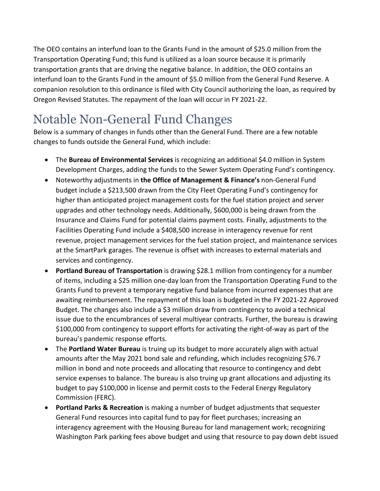The OEO contains an interfund loan to the Grants Fund in the amount of \$25.0 million from the Transportation Operating Fund; this fund is utilized as a loan source because it is primarily transportation grants that are driving the negative balance. In addition, the OEO contains an interfund loan to the Grants Fund in the amount of \$5.0 million from the General Fund Reserve. A companion resolution to this ordinance is filed with City Council authorizing the loan, as required by Oregon Revised Statutes. The repayment of the loan will occur in FY 2021-22.

# Notable Non-General Fund Changes

Below is a summary of changes in funds other than the General Fund. There are a few notable changes to funds outside the General Fund, which include:

- The **Bureau of Environmental Services** is recognizing an additional \$4.0 million in System Development Charges, adding the funds to the Sewer System Operating Fund's contingency.
- Noteworthy adjustments in **the Office of Management & Finance's** non-General Fund budget include a \$213,500 drawn from the City Fleet Operating Fund's contingency for higher than anticipated project management costs for the fuel station project and server upgrades and other technology needs. Additionally, \$600,000 is being drawn from the Insurance and Claims Fund for potential claims payment costs. Finally, adjustments to the Facilities Operating Fund include a \$408,500 increase in interagency revenue for rent revenue, project management services for the fuel station project, and maintenance services at the SmartPark garages. The revenue is offset with increases to external materials and services and contingency.
- **Portland Bureau of Transportation** is drawing \$28.1 million from contingency for a number of items, including a \$25 million one-day loan from the Transportation Operating Fund to the Grants Fund to prevent a temporary negative fund balance from incurred expenses that are awaiting reimbursement. The repayment of this loan is budgeted in the FY 2021-22 Approved Budget. The changes also include a \$3 million draw from contingency to avoid a technical issue due to the encumbrances of several multiyear contracts. Further, the bureau is drawing \$100,000 from contingency to support efforts for activating the right-of-way as part of the bureau's pandemic response efforts.
- The **Portland Water Bureau** is truing up its budget to more accurately align with actual amounts after the May 2021 bond sale and refunding, which includes recognizing \$76.7 million in bond and note proceeds and allocating that resource to contingency and debt service expenses to balance. The bureau is also truing up grant allocations and adjusting its budget to pay \$100,000 in license and permit costs to the Federal Energy Regulatory Commission (FERC).
- **Portland Parks & Recreation** is making a number of budget adjustments that sequester General Fund resources into capital fund to pay for fleet purchases; increasing an interagency agreement with the Housing Bureau for land management work; recognizing Washington Park parking fees above budget and using that resource to pay down debt issued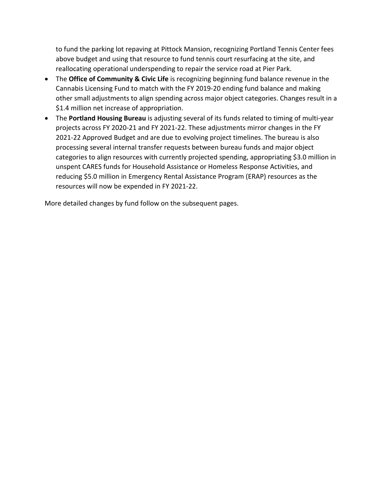to fund the parking lot repaving at Pittock Mansion, recognizing Portland Tennis Center fees above budget and using that resource to fund tennis court resurfacing at the site, and reallocating operational underspending to repair the service road at Pier Park.

- The **Office of Community & Civic Life** is recognizing beginning fund balance revenue in the Cannabis Licensing Fund to match with the FY 2019-20 ending fund balance and making other small adjustments to align spending across major object categories. Changes result in a \$1.4 million net increase of appropriation.
- The **Portland Housing Bureau** is adjusting several of its funds related to timing of multi-year projects across FY 2020-21 and FY 2021-22. These adjustments mirror changes in the FY 2021-22 Approved Budget and are due to evolving project timelines. The bureau is also processing several internal transfer requests between bureau funds and major object categories to align resources with currently projected spending, appropriating \$3.0 million in unspent CARES funds for Household Assistance or Homeless Response Activities, and reducing \$5.0 million in Emergency Rental Assistance Program (ERAP) resources as the resources will now be expended in FY 2021-22.

More detailed changes by fund follow on the subsequent pages.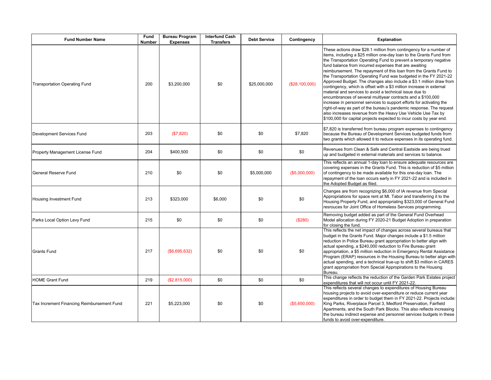| <b>Fund Number Name</b>                    | Fund<br><b>Number</b> | <b>Bureau Program</b><br><b>Expenses</b> | <b>Interfund Cash</b><br><b>Transfers</b> | <b>Debt Service</b> | Contingency    | <b>Explanation</b>                                                                                                                                                                                                                                                                                                                                                                                                                                                                                                                                                                                                                                                                                                                                                                                                                                                                                                                                                               |
|--------------------------------------------|-----------------------|------------------------------------------|-------------------------------------------|---------------------|----------------|----------------------------------------------------------------------------------------------------------------------------------------------------------------------------------------------------------------------------------------------------------------------------------------------------------------------------------------------------------------------------------------------------------------------------------------------------------------------------------------------------------------------------------------------------------------------------------------------------------------------------------------------------------------------------------------------------------------------------------------------------------------------------------------------------------------------------------------------------------------------------------------------------------------------------------------------------------------------------------|
| <b>Transportation Operating Fund</b>       | 200                   | \$3,200,000                              | \$0                                       | \$25,000,000        | (\$28,100,000) | These actions draw \$28.1 million from contingency for a number of<br>items, including a \$25 million one-day loan to the Grants Fund from<br>the Transportation Operating Fund to prevent a temporary negative<br>fund balance from incurred expenses that are awaiting<br>reimbursement. The repayment of this loan from the Grants Fund to<br>the Transportation Operating Fund was budgeted in the FY 2021-22<br>Approved Budget. The changes also include a \$3.1 million draw from<br>contingency, which is offset with a \$3 million increase in external<br>material and services to avoid a technical issue due to<br>encumbrances of several multiyear contracts and a \$100,000<br>increase in personnel services to support efforts for activating the<br>right-of-way as part of the bureau's pandemic response. The request<br>also increases revenue from the Heavy Use Vehicle Use Tax by<br>\$100,000 for capital projects expected to incur costs by year end. |
| Development Services Fund                  | 203                   | (\$7,820)                                | \$0                                       | \$0                 | \$7.820        | \$7,820 is transferred from bureau program expenses to contingency<br>because the Bureau of Development Services budgeted funds from<br>two grants which allowed it to reduce expenses in its operating fund.                                                                                                                                                                                                                                                                                                                                                                                                                                                                                                                                                                                                                                                                                                                                                                    |
| Property Management License Fund           | 204                   | \$400,500                                | \$0                                       | \$0                 | \$0            | Revenues from Clean & Safe and Central Eastside are being trued<br>up and budgeted in external materials and services to balance.                                                                                                                                                                                                                                                                                                                                                                                                                                                                                                                                                                                                                                                                                                                                                                                                                                                |
| General Reserve Fund                       | 210                   | \$0                                      | \$0                                       | \$5,000,000         | (\$5,000,000)  | This reflects an annual 1-day loan to ensure adequate resources are<br>covering expenses in the Grants Fund. This is reduction of \$5 million<br>of contingency to be made available for this one-day loan. The<br>repayment of the loan occurs early in FY 2021-22 and is included in<br>the Adopted Budget as filed.                                                                                                                                                                                                                                                                                                                                                                                                                                                                                                                                                                                                                                                           |
| <b>Housing Investment Fund</b>             | 213                   | \$323,000                                | \$6,000                                   | \$0                 | \$0            | Changes are from recognizing \$6,000 of IA revenue from Special<br>Appropriations for space rent at Mt. Tabor and transferring it to the<br>Housing Property Fund, and appropriating \$323,000 of General Fund<br>resrouces for Joint Office of Homeless Services programming.                                                                                                                                                                                                                                                                                                                                                                                                                                                                                                                                                                                                                                                                                                   |
| Parks Local Option Levy Fund               | 215                   | \$0                                      | \$0                                       | \$0                 | (\$280)        | Removing budget added as part of the General Fund Overhead<br>Model allocation during FY 2020-21 Budget Adoption in preparation<br>for closing the fund.                                                                                                                                                                                                                                                                                                                                                                                                                                                                                                                                                                                                                                                                                                                                                                                                                         |
| <b>Grants Fund</b>                         | 217                   | (\$6,695,632)                            | \$0                                       | \$0                 | \$0            | This reflects the net impact of changes across several bureaus that<br>budget in the Grants Fund. Major changes include a \$1.5 million<br>reduction in Police Bureau grant appropriation to better align with<br>actual spending, a \$240,000 reduction to Fire Bureau grant<br>appropriation, a \$5 million reduction in Emergency Rental Assistance<br>Program (ERAP) resources in the Housing Bureau to better align with<br>actual spending, and a technical true-up to shift \$3 million in CARES<br>grant appropriation from Special Appropirations to the Housing<br>Bureau.                                                                                                                                                                                                                                                                                                                                                                                             |
| <b>HOME Grant Fund</b>                     | 219                   | (\$2,815,000)                            | \$0                                       | \$0                 | \$0            | This change reflects the reduction of the Garden Park Estates project<br>expenditures that will not occur until FY 2021-22.                                                                                                                                                                                                                                                                                                                                                                                                                                                                                                                                                                                                                                                                                                                                                                                                                                                      |
| Tax Increment Financing Reimbursement Fund | 221                   | \$5,223,000                              | \$0                                       | \$0                 | (\$5,650,000)  | This reflects several changes to expenditures of Housing Bureau<br>housing projects to avoid over-expenditure or reduce current year<br>expenditures in order to budget them in FY 2021-22. Projects include:<br>King Parks, Riverplace Parcel 3, Medford Preservation, Fairfield<br>Apartments, and the South Park Blocks. This also reflects increasing<br>the bureau indirect expense and personnel services budgets in these<br>funds to avoid over-expenditure.                                                                                                                                                                                                                                                                                                                                                                                                                                                                                                             |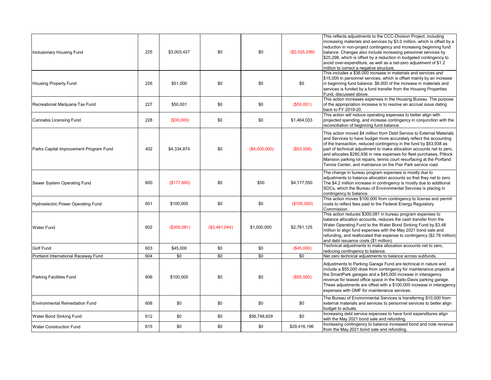| Inclusionary Housing Fund                 | 225 | \$3,003,427 | \$0           | \$0           | (\$2,025,298) | This reflects adjustments to the CCC-Division Project, including<br>increasing materials and services by \$3.0 million, which is offset by a<br>reduction in non-project contingency and increasing beginning fund<br>balance. Changes also include increasing personnel services by<br>\$25,298, which is offset by a reduction in budgeted contingency to<br>avoid over-expenditure, as well as a net-zero adjustment of \$1.2<br>million to correct a negative structure.                               |
|-------------------------------------------|-----|-------------|---------------|---------------|---------------|------------------------------------------------------------------------------------------------------------------------------------------------------------------------------------------------------------------------------------------------------------------------------------------------------------------------------------------------------------------------------------------------------------------------------------------------------------------------------------------------------------|
| <b>Housing Property Fund</b>              | 226 | \$51,000    | \$0           | \$0           | \$0           | This includes a \$36,000 increase in materials and services and<br>\$15,000 in personnel services, which is offset mainly by an increase<br>in beginning fund balance. \$6,000 of the increase in materials and<br>services is funded by a fund transfer from the Housing Properties<br>Fund, discussed above.                                                                                                                                                                                             |
| Recreational Marijuana Tax Fund           | 227 | \$50,001    | \$0           | \$0           | (\$50,001)    | This action increases expenses in the Housing Bureau. The purpose<br>of the appropriation increase is to resolve an accrual issue dating<br>back to FY 2019-20.                                                                                                                                                                                                                                                                                                                                            |
| Cannabis Licensing Fund                   | 228 | (\$30,000)  | \$0           | \$0           | \$1,464,033   | This action will reduce operating expenses to better align with<br>projected spending, and increase contingency in conjunction with the<br>reconciliation of beginning fund balance.                                                                                                                                                                                                                                                                                                                       |
| Parks Capital Improvement Program Fund    | 402 | \$4,334,874 | \$0           | (\$4,000,000) | (\$53,938)    | This action moved \$4 million from Debt Service to External Materials<br>and Services to have budget more accurately reflect the accounting<br>of the transaction, reduced contingency in the fund by \$53,938 as<br>part of technical adjustment to make allocation accounts net to zero,<br>and allocates \$280,936 in new expenses for fleet purchases, Pittock<br>Mansion parking lot repairs, tennis court resurfacing at the Portland<br>Tennis Center, and maintance on the Pier Park service road. |
| Sewer System Operating Fund               | 600 | (\$177,600) | \$0           | \$50          | \$4,177,550   | The change in bureau program expenses is mostly due to<br>adjustments to balance allocation accounts so that they net to zero.<br>The \$4.2 million increase in contingency is mostly due to additional<br>SDCs, which the Bureau of Environmental Services is placing in<br>contingency to balance.                                                                                                                                                                                                       |
| <b>Hydroelectric Power Operating Fund</b> | 601 | \$100,000   | \$0           | \$0           | (\$100,000)   | This action moves \$100,000 from contingency to license and permit<br>costs to reflect fees paid to the Federal Energy Regulatory<br>Commission.                                                                                                                                                                                                                                                                                                                                                           |
| <b>Water Fund</b>                         | 602 | (\$300,081) | (\$3,481,044) | \$1,000,000   | \$2,781,125   | This action reduces \$300,081 in bureau program expenses to<br>balance allocation accounts, reduces the cash transfer from the<br>Water Operating Fund to the Water Bond Sinking Fund by \$3.48<br>million to align fund expenses with the May 2021 bond sale and<br>refunding, and reallocated that expense to contingency (\$2.78 million)<br>and debt issuance costs (\$1 million).                                                                                                                     |
| Golf Fund                                 | 603 | \$45,000    | \$0           | \$0           | (\$45,000)    | Technical adjustments to make allocation accounts net to zero,<br>reducing contingency to balance.                                                                                                                                                                                                                                                                                                                                                                                                         |
| Portland International Raceway Fund       | 604 | \$0         | \$0           | $\sqrt{6}$    | \$0           | Net zero technical adjustments to balance across subfunds.                                                                                                                                                                                                                                                                                                                                                                                                                                                 |
| <b>Parking Facilities Fund</b>            | 606 | \$100,000   | \$0           | \$0           | (\$55,000)    | Adjustments to Parking Garage Fund are technical in nature and<br>include a \$55,000 draw from contingency for maintenance projects at<br>the SmartPark garages and a \$45,000 increase in interagency<br>revenue for leased office space in the Naito-Davis parking garage.<br>These adjustments are offset with a \$100,000 increase in interagency<br>expenses with OMF for maintenance services.                                                                                                       |
| <b>Environmental Remediation Fund</b>     | 608 | \$0         | \$0           | \$0           | \$0           | The Bureau of Environmental Services is transferring \$10,000 from<br>external materials and services to personnel services to better align<br>budget to actuals.                                                                                                                                                                                                                                                                                                                                          |
| Water Bond Sinking Fund                   | 612 | \$0         | \$0           | \$56,748,829  | \$0           | Increasing debt service expenses to have fund expenditures align<br>with the May 2021 bond sale and refunding.                                                                                                                                                                                                                                                                                                                                                                                             |
| <b>Water Construction Fund</b>            | 615 | \$0         | \$0           | \$0           | \$29,416,196  | Increasing contingency to balance increased bond and note revenue<br>from the May 2021 bond sale and refunding.                                                                                                                                                                                                                                                                                                                                                                                            |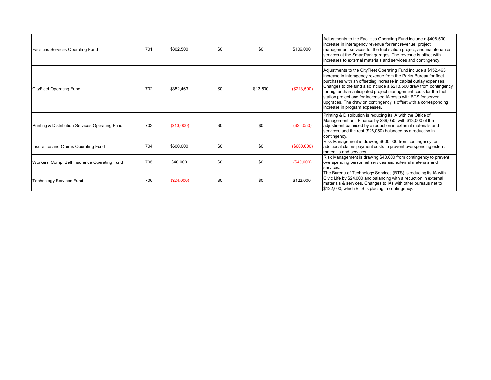| <b>Facilities Services Operating Fund</b>       | 701 | \$302,500  | \$0 | \$0      | \$106,000    | Adjustments to the Facilities Operating Fund include a \$408,500<br>increase in interagency revenue for rent revenue, project<br>management services for the fuel station project, and maintenance<br>services at the SmartPark garages. The revenue is offset with<br>increases to external materials and services and contingency.                                                                                                                                                                                      |
|-------------------------------------------------|-----|------------|-----|----------|--------------|---------------------------------------------------------------------------------------------------------------------------------------------------------------------------------------------------------------------------------------------------------------------------------------------------------------------------------------------------------------------------------------------------------------------------------------------------------------------------------------------------------------------------|
| <b>CityFleet Operating Fund</b>                 | 702 | \$352.463  | \$0 | \$13,500 | (\$213,500)  | Adjustments to the CityFleet Operating Fund include a \$152,463<br>increase in interagency revenue from the Parks Bureau for fleet<br>purchases with an offsetting increase in capital outlay expenses.<br>Changes to the fund also include a \$213,500 draw from contingency<br>for higher than anticipated project management costs for the fuel<br>station project and for increased IA costs with BTS for server<br>upgrades. The draw on contingency is offset with a corresponding<br>increase in program expenses. |
| Printing & Distribution Services Operating Fund | 703 | (\$13,000) | \$0 | \$0      | (\$26,050)   | Printing & Distribution is reducing its IA with the Office of<br>Management and Finance by \$39,050, with \$13,000 of the<br>adjustment balanced by a reduction in external materials and<br>services, and the rest (\$26,050) balanced by a reduction in<br>contingency.                                                                                                                                                                                                                                                 |
| Insurance and Claims Operating Fund             | 704 | \$600,000  | \$0 | \$0      | (\$600,000)  | Risk Management is drawing \$600,000 from contingency for<br>additional claims payment costs to prevent overspending external<br>materials and services.                                                                                                                                                                                                                                                                                                                                                                  |
| Workers' Comp. Self Insurance Operating Fund    | 705 | \$40,000   | \$0 | \$0      | $(\$40,000)$ | Risk Management is drawing \$40,000 from contingency to prevent<br>overspending personnel services and external materials and<br>services.                                                                                                                                                                                                                                                                                                                                                                                |
| <b>Technology Services Fund</b>                 | 706 | (\$24,000) | \$0 | \$0      | \$122,000    | The Bureau of Technology Services (BTS) is reducing its IA with<br>Civic Life by \$24,000 and balancing with a reduction in external<br>materials & services. Changes to IAs with other bureaus net to<br>\$122,000, which BTS is placing in contingency.                                                                                                                                                                                                                                                                 |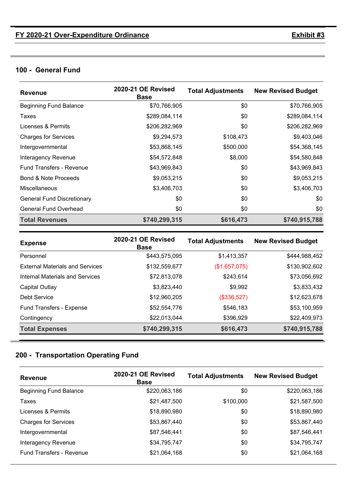### **100 - General Fund**

| <b>Revenue</b>                    | 2020-21 OE Revised<br><b>Base</b> | <b>Total Adjustments</b> | <b>New Revised Budget</b> |
|-----------------------------------|-----------------------------------|--------------------------|---------------------------|
| <b>Beginning Fund Balance</b>     | \$70,766,905                      | \$0                      | \$70,766,905              |
| Taxes                             | \$289,084,114                     | \$0                      | \$289,084,114             |
| Licenses & Permits                | \$206,282,969                     | \$0                      | \$206,282,969             |
| <b>Charges for Services</b>       | \$9,294,573                       | \$108,473                | \$9,403,046               |
| Intergovernmental                 | \$53,868,145                      | \$500,000                | \$54,368,145              |
| Interagency Revenue               | \$54,572,848                      | \$8,000                  | \$54,580,848              |
| <b>Fund Transfers - Revenue</b>   | \$43,969,843                      | \$0                      | \$43,969,843              |
| Bond & Note Proceeds              | \$9,053,215                       | \$0                      | \$9,053,215               |
| <b>Miscellaneous</b>              | \$3,406,703                       | \$0                      | \$3,406,703               |
| <b>General Fund Discretionary</b> | \$0                               | \$0                      | \$0                       |
| <b>General Fund Overhead</b>      | \$0                               | \$0                      | \$0                       |
| <b>Total Revenues</b>             | \$740,299,315                     | \$616,473                | \$740,915,788             |

| <b>Expense</b>                         | 2020-21 OE Revised<br><b>Base</b> | <b>Total Adjustments</b> | <b>New Revised Budget</b> |
|----------------------------------------|-----------------------------------|--------------------------|---------------------------|
| Personnel                              | \$443,575,095                     | \$1,413,357              | \$444,988,452             |
| <b>External Materials and Services</b> | \$132,559,677                     | (\$1,657,075)            | \$130,902,602             |
| Internal Materials and Services        | \$72,813,078                      | \$243,614                | \$73,056,692              |
| Capital Outlay                         | \$3,823,440                       | \$9,992                  | \$3,833,432               |
| Debt Service                           | \$12,960,205                      | (\$336,527)              | \$12,623,678              |
| Fund Transfers - Expense               | \$52,554,776                      | \$546,183                | \$53,100,959              |
| Contingency                            | \$22,013,044                      | \$396,929                | \$22,409,973              |
| <b>Total Expenses</b>                  | \$740,299,315                     | \$616,473                | \$740,915,788             |

### **200 - Transportation Operating Fund**

| <b>Revenue</b>                  | 2020-21 OE Revised<br><b>Base</b> | <b>Total Adjustments</b> | <b>New Revised Budget</b> |
|---------------------------------|-----------------------------------|--------------------------|---------------------------|
| <b>Beginning Fund Balance</b>   | \$220,063,186                     | \$0                      | \$220,063,186             |
| Taxes                           | \$21,487,500                      | \$100,000                | \$21,587,500              |
| Licenses & Permits              | \$18,890,980                      | \$0                      | \$18,890,980              |
| <b>Charges for Services</b>     | \$53,867,440                      | \$0                      | \$53,867,440              |
| Intergovernmental               | \$87,546,441                      | \$0                      | \$87,546,441              |
| Interagency Revenue             | \$34,795,747                      | \$0                      | \$34,795,747              |
| <b>Fund Transfers - Revenue</b> | \$21,064,168                      | \$0                      | \$21,064,168              |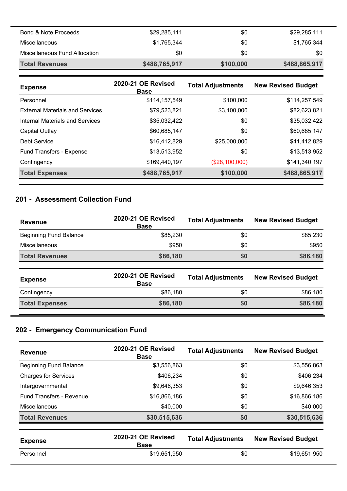| Bond & Note Proceeds          | \$29,285,111  | \$0       | \$29,285,111  |
|-------------------------------|---------------|-----------|---------------|
| <b>Miscellaneous</b>          | \$1,765,344   | \$0       | \$1,765,344   |
| Miscellaneous Fund Allocation | \$0           | \$0       | \$0           |
| <b>Total Revenues</b>         | \$488,765,917 | \$100,000 | \$488,865,917 |

| <b>Expense</b>                         | 2020-21 OE Revised<br><b>Base</b> | <b>Total Adjustments</b> | <b>New Revised Budget</b> |
|----------------------------------------|-----------------------------------|--------------------------|---------------------------|
| Personnel                              | \$114,157,549                     | \$100,000                | \$114,257,549             |
| <b>External Materials and Services</b> | \$79,523,821                      | \$3,100,000              | \$82,623,821              |
| Internal Materials and Services        | \$35,032,422                      | \$0                      | \$35,032,422              |
| Capital Outlay                         | \$60,685,147                      | \$0                      | \$60,685,147              |
| Debt Service                           | \$16,412,829                      | \$25,000,000             | \$41,412,829              |
| Fund Transfers - Expense               | \$13,513,952                      | \$0                      | \$13,513,952              |
| Contingency                            | \$169,440,197                     | (\$28,100,000)           | \$141,340,197             |
| <b>Total Expenses</b>                  | \$488,765,917                     | \$100,000                | \$488,865,917             |

### **201 - Assessment Collection Fund**

| <b>Revenue</b>                | 2020-21 OE Revised<br><b>Base</b> | <b>Total Adjustments</b> | <b>New Revised Budget</b> |
|-------------------------------|-----------------------------------|--------------------------|---------------------------|
| <b>Beginning Fund Balance</b> | \$85,230                          | \$0                      | \$85,230                  |
| Miscellaneous                 | \$950                             | \$0                      | \$950                     |
| <b>Total Revenues</b>         | \$86,180                          | \$0                      | \$86,180                  |
| <b>Expense</b>                | 2020-21 OE Revised<br><b>Base</b> | <b>Total Adjustments</b> | <b>New Revised Budget</b> |
| Contingency                   | \$86,180                          | \$0                      | \$86,180                  |
|                               |                                   |                          |                           |

# **202 - Emergency Communication Fund**

| <b>Revenue</b>                  | 2020-21 OE Revised<br><b>Base</b> | <b>Total Adjustments</b> | <b>New Revised Budget</b> |
|---------------------------------|-----------------------------------|--------------------------|---------------------------|
| <b>Beginning Fund Balance</b>   | \$3,556,863                       | \$0                      | \$3,556,863               |
| <b>Charges for Services</b>     | \$406,234                         | \$0                      | \$406,234                 |
| Intergovernmental               | \$9,646,353                       | \$0                      | \$9,646,353               |
| <b>Fund Transfers - Revenue</b> | \$16,866,186                      | \$0                      | \$16,866,186              |
| <b>Miscellaneous</b>            | \$40,000                          | \$0                      | \$40,000                  |
| <b>Total Revenues</b>           | \$30,515,636                      | \$0                      | \$30,515,636              |
|                                 |                                   |                          |                           |

| <b>Expense</b> | 2020-21 OE Revised<br><b>Base</b> | <b>Total Adjustments</b> | <b>New Revised Budget</b> |
|----------------|-----------------------------------|--------------------------|---------------------------|
| Personnel      | \$19.651.950                      | \$0                      | \$19.651.950              |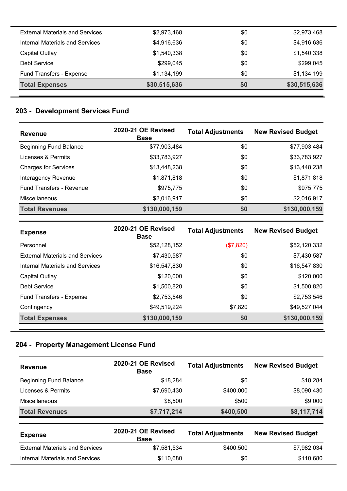| <b>Total Expenses</b>                  | \$30,515,636 | \$0 | \$30,515,636 |
|----------------------------------------|--------------|-----|--------------|
| Fund Transfers - Expense               | \$1,134,199  | \$0 | \$1,134,199  |
| Debt Service                           | \$299,045    | \$0 | \$299,045    |
| Capital Outlay                         | \$1,540,338  | \$0 | \$1,540,338  |
| <b>Internal Materials and Services</b> | \$4,916,636  | \$0 | \$4,916,636  |
| <b>External Materials and Services</b> | \$2,973,468  | \$0 | \$2,973,468  |

### **203 - Development Services Fund**

| <b>Revenue</b>                  | 2020-21 OE Revised<br><b>Base</b> | <b>Total Adjustments</b> | <b>New Revised Budget</b> |
|---------------------------------|-----------------------------------|--------------------------|---------------------------|
| <b>Beginning Fund Balance</b>   | \$77,903,484                      | \$0                      | \$77,903,484              |
| Licenses & Permits              | \$33,783,927                      | \$0                      | \$33,783,927              |
| <b>Charges for Services</b>     | \$13,448,238                      | \$0                      | \$13,448,238              |
| Interagency Revenue             | \$1,871,818                       | \$0                      | \$1,871,818               |
| <b>Fund Transfers - Revenue</b> | \$975,775                         | \$0                      | \$975,775                 |
| Miscellaneous                   | \$2,016,917                       | \$0                      | \$2,016,917               |
| <b>Total Revenues</b>           | \$130,000,159                     | \$0                      | \$130,000,159             |

| <b>Expense</b>                         | <b>2020-21 OE Revised</b><br>Base | <b>Total Adjustments</b> | <b>New Revised Budget</b> |
|----------------------------------------|-----------------------------------|--------------------------|---------------------------|
| Personnel                              | \$52,128,152                      | (\$7,820)                | \$52,120,332              |
| <b>External Materials and Services</b> | \$7,430,587                       | \$0                      | \$7,430,587               |
| Internal Materials and Services        | \$16,547,830                      | \$0                      | \$16,547,830              |
| Capital Outlay                         | \$120,000                         | \$0                      | \$120,000                 |
| Debt Service                           | \$1,500,820                       | \$0                      | \$1,500,820               |
| Fund Transfers - Expense               | \$2,753,546                       | \$0                      | \$2,753,546               |
| Contingency                            | \$49,519,224                      | \$7,820                  | \$49,527,044              |
| <b>Total Expenses</b>                  | \$130,000,159                     | \$0                      | \$130,000,159             |

# **204 - Property Management License Fund**

| <b>Revenue</b>                | 2020-21 OE Revised<br><b>Base</b> | <b>Total Adjustments</b> | <b>New Revised Budget</b> |
|-------------------------------|-----------------------------------|--------------------------|---------------------------|
| <b>Beginning Fund Balance</b> | \$18,284                          | \$0                      | \$18,284                  |
| Licenses & Permits            | \$7,690,430                       | \$400,000                | \$8,090,430               |
| <b>Miscellaneous</b>          | \$8,500                           | \$500                    | \$9,000                   |
| <b>Total Revenues</b>         | \$7,717,214                       | \$400,500                | \$8,117,714               |

| <b>Expense</b>                         | <b>2020-21 OE Revised</b><br><b>Base</b> | <b>Total Adjustments</b> | <b>New Revised Budget</b> |
|----------------------------------------|------------------------------------------|--------------------------|---------------------------|
| <b>External Materials and Services</b> | \$7,581,534                              | \$400,500                | \$7,982,034               |
| Internal Materials and Services        | \$110.680                                | \$0                      | \$110,680                 |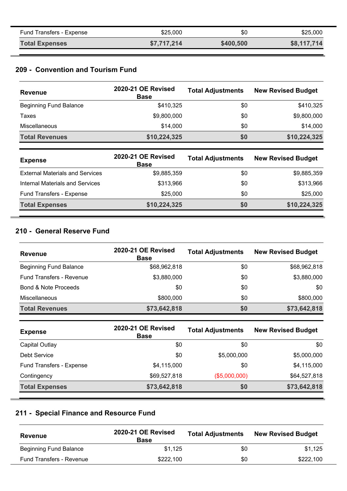| Fund Transfers - Expense | \$25,000    | \$0       | \$25,000    |
|--------------------------|-------------|-----------|-------------|
| <b>Total Expenses</b>    | \$7,717,214 | \$400,500 | \$8,117,714 |

### **209 - Convention and Tourism Fund**

| <b>Revenue</b>                         | 2020-21 OE Revised<br><b>Base</b> | <b>Total Adjustments</b> | <b>New Revised Budget</b> |
|----------------------------------------|-----------------------------------|--------------------------|---------------------------|
| <b>Beginning Fund Balance</b>          | \$410,325                         | \$0                      | \$410,325                 |
| Taxes                                  | \$9,800,000                       | \$0                      | \$9,800,000               |
| Miscellaneous                          | \$14,000                          | \$0                      | \$14,000                  |
| <b>Total Revenues</b>                  | \$10,224,325                      | \$0                      | \$10,224,325              |
| <b>Expense</b>                         | 2020-21 OE Revised<br><b>Base</b> | <b>Total Adjustments</b> | <b>New Revised Budget</b> |
| <b>External Materials and Services</b> | \$9,885,359                       | \$0                      | \$9,885,359               |
| <b>Internal Materials and Services</b> | \$313,966                         | \$0                      | \$313,966                 |
| <b>Fund Transfers - Expense</b>        | \$25,000                          | \$0                      | \$25,000                  |

**Total Expenses \$10,224,325 \$0 \$10,224,325**

#### **210 - General Reserve Fund**

| Revenue                         | 2020-21 OE Revised<br><b>Base</b> | <b>Total Adjustments</b> | <b>New Revised Budget</b> |
|---------------------------------|-----------------------------------|--------------------------|---------------------------|
| <b>Beginning Fund Balance</b>   | \$68,962,818                      | \$0                      | \$68,962,818              |
| <b>Fund Transfers - Revenue</b> | \$3,880,000                       | \$0                      | \$3,880,000               |
| <b>Bond &amp; Note Proceeds</b> | \$0                               | \$0                      | \$0                       |
| <b>Miscellaneous</b>            | \$800,000                         | \$0                      | \$800,000                 |
| <b>Total Revenues</b>           | \$73,642,818                      | \$0                      | \$73,642,818              |

| <b>Expense</b>           | 2020-21 OE Revised<br><b>Base</b> | <b>Total Adjustments</b> | <b>New Revised Budget</b> |
|--------------------------|-----------------------------------|--------------------------|---------------------------|
| Capital Outlay           | \$0                               | \$0                      | \$0                       |
| Debt Service             | \$0                               | \$5,000,000              | \$5,000,000               |
| Fund Transfers - Expense | \$4,115,000                       | \$0                      | \$4,115,000               |
| Contingency              | \$69,527,818                      | (\$5,000,000)            | \$64,527,818              |
| <b>Total Expenses</b>    | \$73,642,818                      | \$0                      | \$73,642,818              |

# **211 - Special Finance and Resource Fund**

| Revenue                         | 2020-21 OE Revised<br><b>Base</b> | <b>Total Adjustments</b> | <b>New Revised Budget</b> |
|---------------------------------|-----------------------------------|--------------------------|---------------------------|
| <b>Beginning Fund Balance</b>   | \$1.125                           | \$0                      | \$1.125                   |
| <b>Fund Transfers - Revenue</b> | \$222,100                         | \$0                      | \$222.100                 |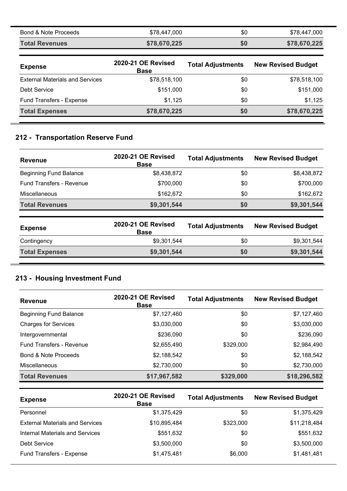| <b>Bond &amp; Note Proceeds</b>        | \$78,447,000                      | \$0                      | \$78,447,000              |
|----------------------------------------|-----------------------------------|--------------------------|---------------------------|
| <b>Total Revenues</b>                  | \$78,670,225                      | \$0                      | \$78,670,225              |
| <b>Expense</b>                         | 2020-21 OE Revised<br><b>Base</b> | <b>Total Adjustments</b> | <b>New Revised Budget</b> |
| <b>External Materials and Services</b> | \$78,518,100                      | \$0                      | \$78,518,100              |
| Debt Service                           | \$151,000                         | \$0                      | \$151,000                 |
| Fund Transfers - Expense               | \$1,125                           | \$0                      | \$1,125                   |
| <b>Total Expenses</b>                  | \$78,670,225                      | \$0                      | \$78,670,225              |

### **212 - Transportation Reserve Fund**

| <b>Revenue</b>                  | <b>2020-21 OE Revised</b><br><b>Base</b> | <b>Total Adjustments</b> | <b>New Revised Budget</b> |
|---------------------------------|------------------------------------------|--------------------------|---------------------------|
| <b>Beginning Fund Balance</b>   | \$8,438,872                              | \$0                      | \$8,438,872               |
| <b>Fund Transfers - Revenue</b> | \$700,000                                | \$0                      | \$700,000                 |
| Miscellaneous                   | \$162,672                                | \$0                      | \$162,672                 |
| <b>Total Revenues</b>           | \$9,301,544                              | \$0                      | \$9,301,544               |
|                                 |                                          |                          |                           |

| <b>Expense</b>        | 2020-21 OE Revised<br><b>Base</b> | <b>Total Adjustments</b> | <b>New Revised Budget</b> |
|-----------------------|-----------------------------------|--------------------------|---------------------------|
| Contingency           | \$9,301,544                       | \$0                      | \$9,301,544               |
| <b>Total Expenses</b> | \$9,301,544                       | \$0                      | \$9,301,544               |

### **213 - Housing Investment Fund**

| <b>Revenue</b>                  | 2020-21 OE Revised<br><b>Base</b> | <b>Total Adjustments</b> | <b>New Revised Budget</b> |
|---------------------------------|-----------------------------------|--------------------------|---------------------------|
| <b>Beginning Fund Balance</b>   | \$7,127,460                       | \$0                      | \$7,127,460               |
| <b>Charges for Services</b>     | \$3,030,000                       | \$0                      | \$3,030,000               |
| Intergovernmental               | \$236,090                         | \$0                      | \$236,090                 |
| <b>Fund Transfers - Revenue</b> | \$2,655,490                       | \$329,000                | \$2,984,490               |
| <b>Bond &amp; Note Proceeds</b> | \$2,188,542                       | \$0                      | \$2,188,542               |
| <b>Miscellaneous</b>            | \$2,730,000                       | \$0                      | \$2,730,000               |
| <b>Total Revenues</b>           | \$17,967,582                      | \$329,000                | \$18,296,582              |

| <b>Expense</b>                         | 2020-21 OE Revised<br><b>Base</b> | <b>Total Adjustments</b> | <b>New Revised Budget</b> |
|----------------------------------------|-----------------------------------|--------------------------|---------------------------|
| Personnel                              | \$1,375,429                       | \$0                      | \$1,375,429               |
| <b>External Materials and Services</b> | \$10,895,484                      | \$323,000                | \$11,218,484              |
| <b>Internal Materials and Services</b> | \$551,632                         | \$0                      | \$551,632                 |
| Debt Service                           | \$3,500,000                       | \$0                      | \$3,500,000               |
| Fund Transfers - Expense               | \$1,475,481                       | \$6,000                  | \$1,481,481               |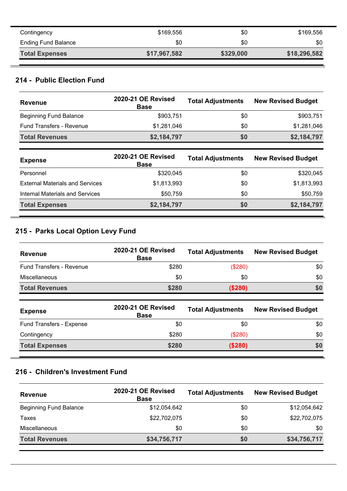| Contingency                | \$169,556    | \$0       | \$169,556    |
|----------------------------|--------------|-----------|--------------|
| <b>Ending Fund Balance</b> | \$0          | \$0       | \$0          |
| <b>Total Expenses</b>      | \$17,967,582 | \$329,000 | \$18,296,582 |

# **214 - Public Election Fund**

| <b>Revenue</b>                         | 2020-21 OE Revised<br><b>Base</b> | <b>Total Adjustments</b> | <b>New Revised Budget</b> |
|----------------------------------------|-----------------------------------|--------------------------|---------------------------|
| <b>Beginning Fund Balance</b>          | \$903,751                         | \$0                      | \$903,751                 |
| <b>Fund Transfers - Revenue</b>        | \$1,281,046                       | \$0                      | \$1,281,046               |
| <b>Total Revenues</b>                  | \$2,184,797                       | \$0                      | \$2,184,797               |
|                                        |                                   |                          |                           |
| <b>Expense</b>                         | 2020-21 OE Revised<br><b>Base</b> | <b>Total Adjustments</b> | <b>New Revised Budget</b> |
| Personnel                              | \$320.045                         | \$0                      | \$320,045                 |
| <b>External Materials and Services</b> | \$1,813,993                       | \$0                      | \$1,813,993               |
| Internal Materials and Services        | \$50,759                          | \$0                      | \$50,759                  |

# **215 - Parks Local Option Levy Fund**

| <b>Revenue</b>                  | 2020-21 OE Revised<br><b>Base</b> | <b>Total Adjustments</b> | <b>New Revised Budget</b> |
|---------------------------------|-----------------------------------|--------------------------|---------------------------|
| <b>Fund Transfers - Revenue</b> | \$280                             | (\$280)                  | \$0                       |
| Miscellaneous                   | \$0                               | \$0                      | \$0                       |
| <b>Total Revenues</b>           | \$280                             | (\$280)                  | \$0                       |
|                                 | 2020-21 OE Revised                | Total Adjustments        | Now Poviend Budget        |

| <b>Expense</b>           | 2020-21 OE Revised<br><b>Base</b> | <b>Total Adjustments</b> | <b>New Revised Budget</b> |
|--------------------------|-----------------------------------|--------------------------|---------------------------|
| Fund Transfers - Expense | \$0                               | \$0                      | \$0                       |
| Contingency              | \$280                             | (\$280)                  | \$0                       |
| <b>Total Expenses</b>    | \$280                             | (\$280)                  | \$0                       |

### **216 - Children's Investment Fund**

| <b>Revenue</b>                | 2020-21 OE Revised<br><b>Base</b> | <b>Total Adjustments</b> | <b>New Revised Budget</b> |
|-------------------------------|-----------------------------------|--------------------------|---------------------------|
| <b>Beginning Fund Balance</b> | \$12,054,642                      | \$0                      | \$12,054,642              |
| Taxes                         | \$22,702,075                      | \$0                      | \$22,702,075              |
| Miscellaneous                 | \$0                               | \$0                      | \$0                       |
| <b>Total Revenues</b>         | \$34,756,717                      | \$0                      | \$34,756,717              |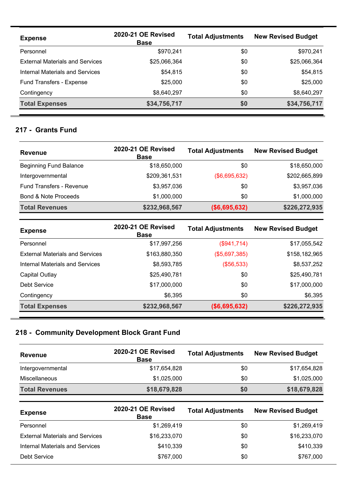| <b>Expense</b>                         | 2020-21 OE Revised<br><b>Base</b> | <b>Total Adjustments</b> | <b>New Revised Budget</b> |
|----------------------------------------|-----------------------------------|--------------------------|---------------------------|
| Personnel                              | \$970.241                         | \$0                      | \$970,241                 |
| <b>External Materials and Services</b> | \$25,066,364                      | \$0                      | \$25,066,364              |
| Internal Materials and Services        | \$54,815                          | \$0                      | \$54,815                  |
| Fund Transfers - Expense               | \$25,000                          | \$0                      | \$25,000                  |
| Contingency                            | \$8,640,297                       | \$0                      | \$8,640,297               |
| <b>Total Expenses</b>                  | \$34,756,717                      | \$0                      | \$34,756,717              |

#### **217 - Grants Fund**

| <b>Revenue</b>                  | 2020-21 OE Revised<br><b>Base</b> | <b>Total Adjustments</b> | <b>New Revised Budget</b> |
|---------------------------------|-----------------------------------|--------------------------|---------------------------|
| <b>Beginning Fund Balance</b>   | \$18,650,000                      | \$0                      | \$18,650,000              |
| Intergovernmental               | \$209,361,531                     | (\$6,695,632)            | \$202,665,899             |
| <b>Fund Transfers - Revenue</b> | \$3,957,036                       | \$0                      | \$3,957,036               |
| <b>Bond &amp; Note Proceeds</b> | \$1,000,000                       | \$0                      | \$1,000,000               |
| <b>Total Revenues</b>           | \$232,968,567                     | (\$6,695,632)            | \$226,272,935             |

| <b>Expense</b>                         | 2020-21 OE Revised<br><b>Base</b> | <b>Total Adjustments</b> | <b>New Revised Budget</b> |
|----------------------------------------|-----------------------------------|--------------------------|---------------------------|
| Personnel                              | \$17,997,256                      | (\$941,714)              | \$17,055,542              |
| <b>External Materials and Services</b> | \$163,880,350                     | (\$5,697,385)            | \$158,182,965             |
| Internal Materials and Services        | \$8,593,785                       | (\$56,533)               | \$8,537,252               |
| Capital Outlay                         | \$25,490,781                      | \$0                      | \$25,490,781              |
| Debt Service                           | \$17,000,000                      | \$0                      | \$17,000,000              |
| Contingency                            | \$6,395                           | \$0                      | \$6,395                   |
| <b>Total Expenses</b>                  | \$232,968,567                     | ( \$6,695,632)           | \$226,272,935             |

# **218 - Community Development Block Grant Fund**

| <b>Revenue</b>        | 2020-21 OE Revised<br><b>Base</b> | <b>Total Adjustments</b> | <b>New Revised Budget</b> |
|-----------------------|-----------------------------------|--------------------------|---------------------------|
| Intergovernmental     | \$17,654,828                      | \$0                      | \$17,654,828              |
| <b>Miscellaneous</b>  | \$1,025,000                       | \$0                      | \$1,025,000               |
| <b>Total Revenues</b> | \$18,679,828                      | \$0                      | \$18,679,828              |

| <b>Expense</b>                         | <b>2020-21 OE Revised</b><br><b>Base</b> | <b>Total Adjustments</b> | <b>New Revised Budget</b> |
|----------------------------------------|------------------------------------------|--------------------------|---------------------------|
| Personnel                              | \$1,269,419                              | \$0                      | \$1,269,419               |
| <b>External Materials and Services</b> | \$16,233,070                             | \$0                      | \$16,233,070              |
| <b>Internal Materials and Services</b> | \$410,339                                | \$0                      | \$410,339                 |
| <b>Debt Service</b>                    | \$767,000                                | \$0                      | \$767,000                 |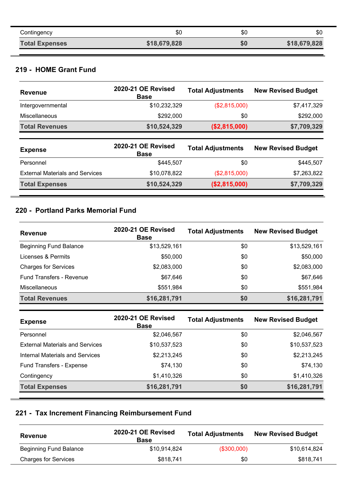| Contingency           | \$С          | \$0 | \$0          |
|-----------------------|--------------|-----|--------------|
| <b>Total Expenses</b> | \$18,679,828 | \$0 | \$18,679,828 |

### **219 - HOME Grant Fund**

| <b>Revenue</b>                         | 2020-21 OE Revised<br><b>Base</b> | <b>Total Adjustments</b> | <b>New Revised Budget</b> |
|----------------------------------------|-----------------------------------|--------------------------|---------------------------|
| Intergovernmental                      | \$10,232,329                      | (\$2,815,000)            | \$7,417,329               |
| Miscellaneous                          | \$292,000                         | \$0                      | \$292,000                 |
| <b>Total Revenues</b>                  | \$10,524,329                      | (\$2,815,000)            | \$7,709,329               |
|                                        |                                   |                          |                           |
| <b>Expense</b>                         | 2020-21 OE Revised<br><b>Base</b> | <b>Total Adjustments</b> | <b>New Revised Budget</b> |
| Personnel                              | \$445,507                         | \$0                      | \$445,507                 |
| <b>External Materials and Services</b> | \$10,078,822                      | (\$2,815,000)            | \$7,263,822               |

### **220 - Portland Parks Memorial Fund**

| <b>Revenue</b>                  | 2020-21 OE Revised<br><b>Base</b> | <b>Total Adjustments</b> | <b>New Revised Budget</b> |
|---------------------------------|-----------------------------------|--------------------------|---------------------------|
| <b>Beginning Fund Balance</b>   | \$13,529,161                      | \$0                      | \$13,529,161              |
| Licenses & Permits              | \$50,000                          | \$0                      | \$50,000                  |
| <b>Charges for Services</b>     | \$2,083,000                       | \$0                      | \$2,083,000               |
| <b>Fund Transfers - Revenue</b> | \$67,646                          | \$0                      | \$67,646                  |
| <b>Miscellaneous</b>            | \$551,984                         | \$0                      | \$551,984                 |
| <b>Total Revenues</b>           | \$16,281,791                      | \$0                      | \$16,281,791              |

| <b>Expense</b>                         | 2020-21 OE Revised<br><b>Base</b> | <b>Total Adjustments</b> | <b>New Revised Budget</b> |
|----------------------------------------|-----------------------------------|--------------------------|---------------------------|
| Personnel                              | \$2,046,567                       | \$0                      | \$2,046,567               |
| <b>External Materials and Services</b> | \$10,537,523                      | \$0                      | \$10,537,523              |
| Internal Materials and Services        | \$2,213,245                       | \$0                      | \$2,213,245               |
| Fund Transfers - Expense               | \$74,130                          | \$0                      | \$74,130                  |
| Contingency                            | \$1,410,326                       | \$0                      | \$1,410,326               |
| <b>Total Expenses</b>                  | \$16,281,791                      | \$0                      | \$16,281,791              |

# **221 - Tax Increment Financing Reimbursement Fund**

| <b>Revenue</b>              | 2020-21 OE Revised<br>Base | <b>Total Adjustments</b> | <b>New Revised Budget</b> |
|-----------------------------|----------------------------|--------------------------|---------------------------|
| Beginning Fund Balance      | \$10,914,824               | $($ \$300,000)           | \$10,614,824              |
| <b>Charges for Services</b> | \$818,741                  | \$0                      | \$818,741                 |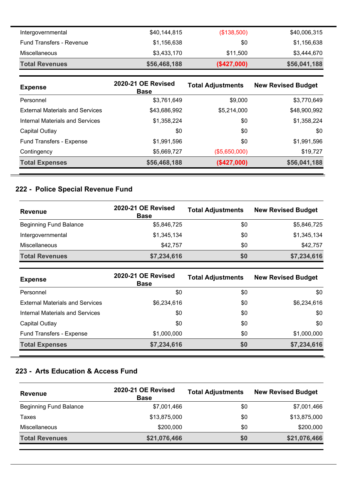| Intergovernmental        | \$40,144,815 | (\$138,500) | \$40,006,315 |
|--------------------------|--------------|-------------|--------------|
| Fund Transfers - Revenue | \$1,156,638  | \$0         | \$1,156,638  |
| Miscellaneous            | \$3,433,170  | \$11,500    | \$3,444,670  |
| <b>Total Revenues</b>    | \$56,468,188 | (\$427,000) | \$56,041,188 |

| <b>Expense</b>                         | 2020-21 OE Revised<br><b>Base</b> | <b>Total Adjustments</b> | <b>New Revised Budget</b> |
|----------------------------------------|-----------------------------------|--------------------------|---------------------------|
| Personnel                              | \$3,761,649                       | \$9,000                  | \$3,770,649               |
| <b>External Materials and Services</b> | \$43,686,992                      | \$5,214,000              | \$48,900,992              |
| Internal Materials and Services        | \$1,358,224                       | \$0                      | \$1,358,224               |
| Capital Outlay                         | \$0                               | \$0                      | \$0                       |
| Fund Transfers - Expense               | \$1,991,596                       | \$0                      | \$1,991,596               |
| Contingency                            | \$5,669,727                       | (\$5,650,000)            | \$19,727                  |
| <b>Total Expenses</b>                  | \$56,468,188                      | (\$427,000)              | \$56,041,188              |

### **222 - Police Special Revenue Fund**

<u> 1989 - Johann Barn, mars eta biztanleria (</u>

| <b>Revenue</b>                | 2020-21 OE Revised<br><b>Base</b> | <b>Total Adjustments</b> | <b>New Revised Budget</b> |
|-------------------------------|-----------------------------------|--------------------------|---------------------------|
| <b>Beginning Fund Balance</b> | \$5,846,725                       | \$0                      | \$5,846,725               |
| Intergovernmental             | \$1,345,134                       | \$0                      | \$1,345,134               |
| <b>Miscellaneous</b>          | \$42,757                          | \$0                      | \$42,757                  |
| <b>Total Revenues</b>         | \$7,234,616                       | <b>SO</b>                | \$7,234,616               |

| <b>Expense</b>                         | 2020-21 OE Revised<br><b>Base</b> | <b>Total Adjustments</b> | <b>New Revised Budget</b> |
|----------------------------------------|-----------------------------------|--------------------------|---------------------------|
| Personnel                              | \$0                               | \$0                      | \$0                       |
| <b>External Materials and Services</b> | \$6,234,616                       | \$0                      | \$6,234,616               |
| Internal Materials and Services        | \$0                               | \$0                      | \$0                       |
| Capital Outlay                         | \$0                               | \$0                      | \$0                       |
| Fund Transfers - Expense               | \$1,000,000                       | \$0                      | \$1,000,000               |
| <b>Total Expenses</b>                  | \$7,234,616                       | \$0                      | \$7,234,616               |

### **223 - Arts Education & Access Fund**

| <b>Revenue</b>                | 2020-21 OE Revised<br><b>Base</b> | <b>Total Adjustments</b> | <b>New Revised Budget</b> |
|-------------------------------|-----------------------------------|--------------------------|---------------------------|
| <b>Beginning Fund Balance</b> | \$7,001,466                       | \$0                      | \$7,001,466               |
| Taxes                         | \$13,875,000                      | \$0                      | \$13,875,000              |
| Miscellaneous                 | \$200,000                         | \$0                      | \$200,000                 |
| <b>Total Revenues</b>         | \$21,076,466                      | \$0                      | \$21,076,466              |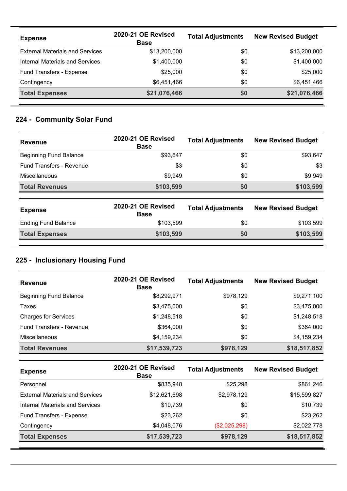| <b>Expense</b>                         | <b>2020-21 OE Revised</b><br><b>Base</b> | <b>Total Adjustments</b> | <b>New Revised Budget</b> |
|----------------------------------------|------------------------------------------|--------------------------|---------------------------|
| <b>External Materials and Services</b> | \$13,200,000                             | \$0                      | \$13,200,000              |
| Internal Materials and Services        | \$1,400,000                              | \$0                      | \$1,400,000               |
| Fund Transfers - Expense               | \$25,000                                 | \$0                      | \$25,000                  |
| Contingency                            | \$6,451,466                              | \$0                      | \$6,451,466               |
| <b>Total Expenses</b>                  | \$21,076,466                             | \$0                      | \$21,076,466              |

# **224 - Community Solar Fund**

| <b>Revenue</b>                  | 2020-21 OE Revised<br><b>Base</b> | <b>Total Adjustments</b> | <b>New Revised Budget</b> |
|---------------------------------|-----------------------------------|--------------------------|---------------------------|
| <b>Beginning Fund Balance</b>   | \$93,647                          | \$0                      | \$93,647                  |
| <b>Fund Transfers - Revenue</b> | \$3                               | \$0                      | \$3                       |
| <b>Miscellaneous</b>            | \$9,949                           | \$0                      | \$9,949                   |
| <b>Total Revenues</b>           | \$103,599                         | \$0                      | \$103,599                 |

| <b>Expense</b>             | 2020-21 OE Revised<br><b>Base</b> | <b>Total Adjustments</b> | <b>New Revised Budget</b> |
|----------------------------|-----------------------------------|--------------------------|---------------------------|
| <b>Ending Fund Balance</b> | \$103.599                         | \$0                      | \$103.599                 |
| <b>Total Expenses</b>      | \$103,599                         | \$0                      | \$103,599                 |

# **225 - Inclusionary Housing Fund**

**226 - Housing Property Fund**

| <b>Revenue</b>              | 2020-21 OE Revised<br><b>Base</b> | <b>Total Adjustments</b> | <b>New Revised Budget</b> |
|-----------------------------|-----------------------------------|--------------------------|---------------------------|
| Beginning Fund Balance      | \$8,292,971                       | \$978,129                | \$9,271,100               |
| Taxes                       | \$3,475,000                       | \$0                      | \$3,475,000               |
| <b>Charges for Services</b> | \$1,248,518                       | \$0                      | \$1,248,518               |
| Fund Transfers - Revenue    | \$364,000                         | \$0                      | \$364,000                 |
| <b>Miscellaneous</b>        | \$4,159,234                       | \$0                      | \$4,159,234               |
| <b>Total Revenues</b>       | \$17,539,723                      | \$978,129                | \$18,517,852              |

| <b>Expense</b>                         | 2020-21 OE Revised<br><b>Base</b> | <b>Total Adjustments</b> | <b>New Revised Budget</b> |
|----------------------------------------|-----------------------------------|--------------------------|---------------------------|
| Personnel                              | \$835,948                         | \$25,298                 | \$861,246                 |
| <b>External Materials and Services</b> | \$12,621,698                      | \$2,978,129              | \$15,599,827              |
| Internal Materials and Services        | \$10,739                          | \$0                      | \$10,739                  |
| Fund Transfers - Expense               | \$23,262                          | \$0                      | \$23,262                  |
| Contingency                            | \$4,048,076                       | (\$2,025,298)            | \$2,022,778               |
| <b>Total Expenses</b>                  | \$17,539,723                      | \$978,129                | \$18,517,852              |

<u> 1989 - Jan Samuel Barbara, margaret eta biztanleria (h. 1989).</u>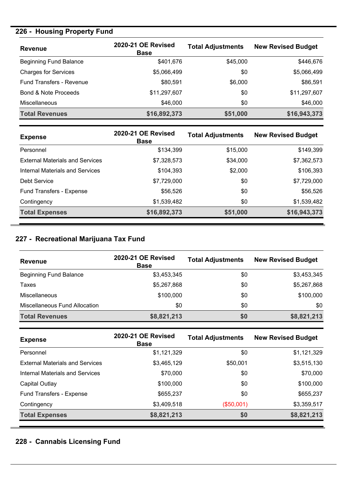# **226 - Housing Property Fund**

| <b>Revenue</b>                  | 2020-21 OE Revised<br><b>Base</b> | <b>Total Adjustments</b> | <b>New Revised Budget</b> |
|---------------------------------|-----------------------------------|--------------------------|---------------------------|
| <b>Beginning Fund Balance</b>   | \$401,676                         | \$45,000                 | \$446,676                 |
| <b>Charges for Services</b>     | \$5,066,499                       | \$0                      | \$5,066,499               |
| Fund Transfers - Revenue        | \$80,591                          | \$6,000                  | \$86,591                  |
| <b>Bond &amp; Note Proceeds</b> | \$11,297,607                      | \$0                      | \$11,297,607              |
| <b>Miscellaneous</b>            | \$46,000                          | \$0                      | \$46,000                  |
| <b>Total Revenues</b>           | \$16,892,373                      | \$51,000                 | \$16,943,373              |

| <b>Expense</b>                         | 2020-21 OE Revised<br><b>Base</b> | <b>Total Adjustments</b> | <b>New Revised Budget</b> |
|----------------------------------------|-----------------------------------|--------------------------|---------------------------|
| Personnel                              | \$134,399                         | \$15,000                 | \$149,399                 |
| <b>External Materials and Services</b> | \$7,328,573                       | \$34,000                 | \$7,362,573               |
| Internal Materials and Services        | \$104,393                         | \$2,000                  | \$106,393                 |
| Debt Service                           | \$7,729,000                       | \$0                      | \$7,729,000               |
| Fund Transfers - Expense               | \$56,526                          | \$0                      | \$56,526                  |
| Contingency                            | \$1,539,482                       | \$0                      | \$1,539,482               |
| <b>Total Expenses</b>                  | \$16,892,373                      | \$51,000                 | \$16,943,373              |

### **227 - Recreational Marijuana Tax Fund**

| <b>Revenue</b>                | 2020-21 OE Revised<br><b>Base</b> | <b>Total Adjustments</b> | <b>New Revised Budget</b> |
|-------------------------------|-----------------------------------|--------------------------|---------------------------|
| <b>Beginning Fund Balance</b> | \$3,453,345                       | \$0                      | \$3,453,345               |
| Taxes                         | \$5,267,868                       | \$0                      | \$5,267,868               |
| <b>Miscellaneous</b>          | \$100,000                         | \$0                      | \$100,000                 |
| Miscellaneous Fund Allocation | \$0                               | \$0                      | \$0                       |
| <b>Total Revenues</b>         | \$8,821,213                       | \$0                      | \$8,821,213               |

| <b>Expense</b>                         | 2020-21 OE Revised<br><b>Base</b> | <b>Total Adjustments</b> | <b>New Revised Budget</b> |
|----------------------------------------|-----------------------------------|--------------------------|---------------------------|
| Personnel                              | \$1,121,329                       | \$0                      | \$1,121,329               |
| <b>External Materials and Services</b> | \$3,465,129                       | \$50,001                 | \$3,515,130               |
| Internal Materials and Services        | \$70,000                          | \$0                      | \$70,000                  |
| Capital Outlay                         | \$100,000                         | \$0                      | \$100,000                 |
| <b>Fund Transfers - Expense</b>        | \$655,237                         | \$0                      | \$655,237                 |
| Contingency                            | \$3,409,518                       | (\$50,001)               | \$3,359,517               |
| <b>Total Expenses</b>                  | \$8,821,213                       | \$0                      | \$8,821,213               |

# **228 - Cannabis Licensing Fund**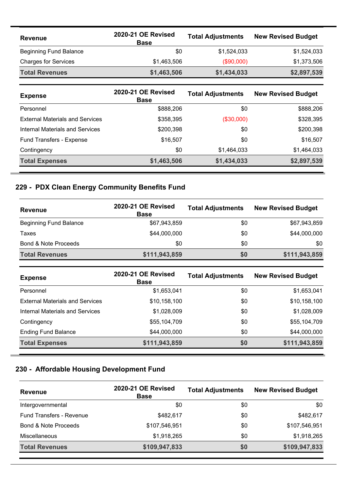| <b>Revenue</b>                | 2020-21 OE Revised<br><b>Base</b> | <b>Total Adjustments</b> | <b>New Revised Budget</b> |
|-------------------------------|-----------------------------------|--------------------------|---------------------------|
| <b>Beginning Fund Balance</b> | \$0                               | \$1,524,033              | \$1,524,033               |
| <b>Charges for Services</b>   | \$1,463,506                       | $(\$90,000)$             | \$1,373,506               |
| <b>Total Revenues</b>         | \$1,463,506                       | \$1,434,033              | \$2,897,539               |

| <b>Expense</b>                         | 2020-21 OE Revised<br><b>Base</b> | <b>Total Adjustments</b> | <b>New Revised Budget</b> |
|----------------------------------------|-----------------------------------|--------------------------|---------------------------|
| Personnel                              | \$888,206                         | \$0                      | \$888,206                 |
| <b>External Materials and Services</b> | \$358,395                         | (\$30,000)               | \$328,395                 |
| Internal Materials and Services        | \$200,398                         | \$0                      | \$200,398                 |
| Fund Transfers - Expense               | \$16,507                          | \$0                      | \$16,507                  |
| Contingency                            | \$0                               | \$1,464,033              | \$1,464,033               |
| <b>Total Expenses</b>                  | \$1,463,506                       | \$1,434,033              | \$2,897,539               |

# **229 - PDX Clean Energy Community Benefits Fund**

| <b>Revenue</b>                  | 2020-21 OE Revised<br><b>Base</b> | <b>Total Adjustments</b> | <b>New Revised Budget</b> |
|---------------------------------|-----------------------------------|--------------------------|---------------------------|
| <b>Beginning Fund Balance</b>   | \$67,943,859                      | \$0                      | \$67,943,859              |
| Taxes                           | \$44,000,000                      | \$0                      | \$44,000,000              |
| <b>Bond &amp; Note Proceeds</b> | \$0                               | \$0                      | \$0                       |
| <b>Total Revenues</b>           | \$111,943,859                     | <b>SO</b>                | \$111,943,859             |

| <b>Expense</b>                         | 2020-21 OE Revised<br><b>Base</b> | <b>Total Adjustments</b> | <b>New Revised Budget</b> |
|----------------------------------------|-----------------------------------|--------------------------|---------------------------|
| Personnel                              | \$1,653,041                       | \$0                      | \$1,653,041               |
| <b>External Materials and Services</b> | \$10,158,100                      | \$0                      | \$10,158,100              |
| Internal Materials and Services        | \$1,028,009                       | \$0                      | \$1,028,009               |
| Contingency                            | \$55,104,709                      | \$0                      | \$55,104,709              |
| <b>Ending Fund Balance</b>             | \$44,000,000                      | \$0                      | \$44,000,000              |
| <b>Total Expenses</b>                  | \$111,943,859                     | \$0                      | \$111,943,859             |

# **230 - Affordable Housing Development Fund**

| <b>Revenue</b>                  | 2020-21 OE Revised<br><b>Base</b> | <b>Total Adjustments</b> | <b>New Revised Budget</b> |
|---------------------------------|-----------------------------------|--------------------------|---------------------------|
| Intergovernmental               | \$0                               | \$0                      | \$0                       |
| <b>Fund Transfers - Revenue</b> | \$482,617                         | \$0                      | \$482,617                 |
| Bond & Note Proceeds            | \$107,546,951                     | \$0                      | \$107,546,951             |
| Miscellaneous                   | \$1,918,265                       | \$0                      | \$1,918,265               |
| <b>Total Revenues</b>           | \$109,947,833                     | \$0                      | \$109,947,833             |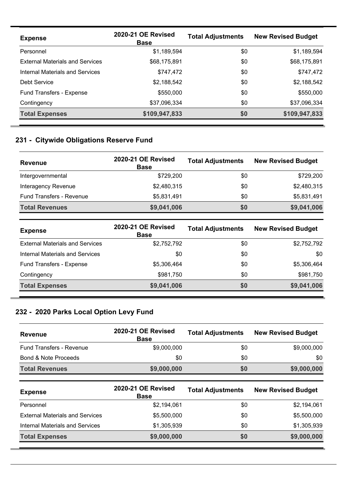| <b>Expense</b>                         | 2020-21 OE Revised<br><b>Base</b> | <b>Total Adjustments</b> | <b>New Revised Budget</b> |
|----------------------------------------|-----------------------------------|--------------------------|---------------------------|
| Personnel                              | \$1,189,594                       | \$0                      | \$1,189,594               |
| <b>External Materials and Services</b> | \$68,175,891                      | \$0                      | \$68,175,891              |
| Internal Materials and Services        | \$747,472                         | \$0                      | \$747,472                 |
| Debt Service                           | \$2,188,542                       | \$0                      | \$2,188,542               |
| Fund Transfers - Expense               | \$550,000                         | \$0                      | \$550,000                 |
| Contingency                            | \$37,096,334                      | \$0                      | \$37,096,334              |
| <b>Total Expenses</b>                  | \$109,947,833                     | \$0                      | \$109,947,833             |

# **231 - Citywide Obligations Reserve Fund**

| <b>Revenue</b>                  | 2020-21 OE Revised<br><b>Base</b> | <b>Total Adjustments</b> | <b>New Revised Budget</b> |
|---------------------------------|-----------------------------------|--------------------------|---------------------------|
| Intergovernmental               | \$729,200                         | \$0                      | \$729,200                 |
| Interagency Revenue             | \$2,480,315                       | \$0                      | \$2,480,315               |
| <b>Fund Transfers - Revenue</b> | \$5,831,491                       | \$0                      | \$5,831,491               |
| <b>Total Revenues</b>           | \$9,041,006                       | \$0                      | \$9,041,006               |

| <b>Expense</b>                         | 2020-21 OE Revised<br><b>Base</b> | <b>Total Adjustments</b> | <b>New Revised Budget</b> |
|----------------------------------------|-----------------------------------|--------------------------|---------------------------|
| <b>External Materials and Services</b> | \$2,752,792                       | \$0                      | \$2,752,792               |
| Internal Materials and Services        | \$0                               | \$0                      | \$0                       |
| Fund Transfers - Expense               | \$5,306,464                       | \$0                      | \$5,306,464               |
| Contingency                            | \$981,750                         | \$0                      | \$981,750                 |
| <b>Total Expenses</b>                  | \$9,041,006                       | \$0                      | \$9,041,006               |

# **232 - 2020 Parks Local Option Levy Fund**

**301 - River District URA Debt Redemption Fund**

| <b>Revenue</b>                  | 2020-21 OE Revised<br><b>Base</b> | <b>Total Adjustments</b> | <b>New Revised Budget</b> |
|---------------------------------|-----------------------------------|--------------------------|---------------------------|
| Fund Transfers - Revenue        | \$9,000,000                       | \$0                      | \$9,000,000               |
| <b>Bond &amp; Note Proceeds</b> | \$0                               | \$0                      | \$0                       |
| <b>Total Revenues</b>           | \$9,000,000                       | \$0                      | \$9,000,000               |
| <b>Expense</b>                  | 2020-21 OE Revised<br>$P - - -$   | <b>Total Adjustments</b> | <b>New Revised Budget</b> |

| Expense                                | <b>Base</b> | <b>IVIAI AUJUSUIIGIIIS</b> | <b>ITEM ITEMISER DUNNEL</b> |
|----------------------------------------|-------------|----------------------------|-----------------------------|
| Personnel                              | \$2,194,061 | \$0                        | \$2,194,061                 |
| <b>External Materials and Services</b> | \$5,500,000 | \$0                        | \$5,500,000                 |
| <b>Internal Materials and Services</b> | \$1,305,939 | \$0                        | \$1,305,939                 |
| <b>Total Expenses</b>                  | \$9,000,000 | \$0                        | \$9,000,000                 |
|                                        |             |                            |                             |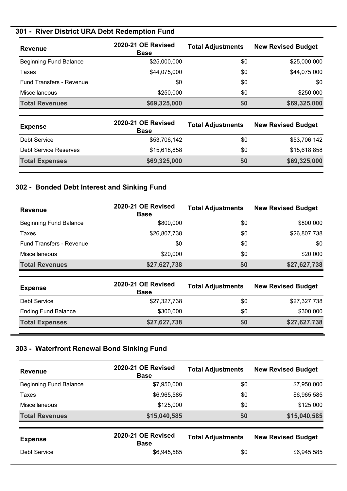# **301 - River District URA Debt Redemption Fund**

| <b>Revenue</b>                  | 2020-21 OE Revised<br><b>Base</b> | <b>Total Adjustments</b> | <b>New Revised Budget</b> |
|---------------------------------|-----------------------------------|--------------------------|---------------------------|
| <b>Beginning Fund Balance</b>   | \$25,000,000                      | \$0                      | \$25,000,000              |
| Taxes                           | \$44,075,000                      | \$0                      | \$44,075,000              |
| <b>Fund Transfers - Revenue</b> | \$0                               | \$0                      | \$0                       |
| <b>Miscellaneous</b>            | \$250,000                         | \$0                      | \$250,000                 |
| <b>Total Revenues</b>           | \$69,325,000                      | \$0                      | \$69,325,000              |

| <b>Expense</b>        | 2020-21 OE Revised<br><b>Base</b> | <b>Total Adjustments</b> | <b>New Revised Budget</b> |
|-----------------------|-----------------------------------|--------------------------|---------------------------|
| Debt Service          | \$53,706,142                      | \$0                      | \$53,706,142              |
| Debt Service Reserves | \$15,618,858                      | \$0                      | \$15,618,858              |
| <b>Total Expenses</b> | \$69,325,000                      | \$0                      | \$69,325,000              |

### **302 - Bonded Debt Interest and Sinking Fund**

| <b>Revenue</b>                  | 2020-21 OE Revised<br><b>Base</b> | <b>Total Adjustments</b> | <b>New Revised Budget</b> |
|---------------------------------|-----------------------------------|--------------------------|---------------------------|
| <b>Beginning Fund Balance</b>   | \$800,000                         | \$0                      | \$800,000                 |
| Taxes                           | \$26,807,738                      | \$0                      | \$26,807,738              |
| <b>Fund Transfers - Revenue</b> | \$0                               | \$0                      | \$0                       |
| <b>Miscellaneous</b>            | \$20,000                          | \$0                      | \$20,000                  |
| <b>Total Revenues</b>           | \$27,627,738                      | \$0                      | \$27,627,738              |

| <b>Expense</b>             | 2020-21 OE Revised<br><b>Base</b> | <b>Total Adjustments</b> | <b>New Revised Budget</b> |
|----------------------------|-----------------------------------|--------------------------|---------------------------|
| Debt Service               | \$27,327,738                      | \$0                      | \$27,327,738              |
| <b>Ending Fund Balance</b> | \$300,000                         | \$0                      | \$300,000                 |
| <b>Total Expenses</b>      | \$27,627,738                      | \$0                      | \$27,627,738              |

### **303 - Waterfront Renewal Bond Sinking Fund**

| <b>Revenue</b>                | 2020-21 OE Revised<br><b>Base</b> | <b>Total Adjustments</b> | <b>New Revised Budget</b> |
|-------------------------------|-----------------------------------|--------------------------|---------------------------|
| <b>Beginning Fund Balance</b> | \$7,950,000                       | \$0                      | \$7,950,000               |
| Taxes                         | \$6,965,585                       | \$0                      | \$6,965,585               |
| Miscellaneous                 | \$125,000                         | \$0                      | \$125,000                 |
| <b>Total Revenues</b>         | \$15,040,585                      | \$0                      | \$15,040,585              |
| <b>Expense</b>                | 2020-21 OE Revised<br><b>Base</b> | <b>Total Adjustments</b> | <b>New Revised Budget</b> |
| Debt Service                  | \$6,945,585                       | \$0                      | \$6,945,585               |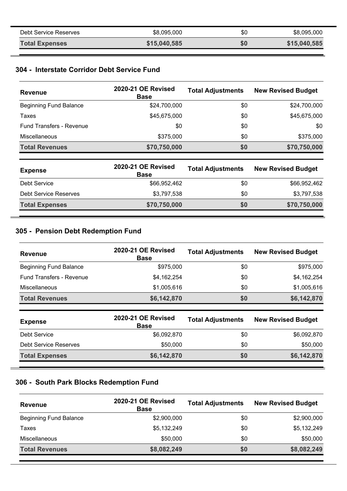| Debt Service Reserves | \$8,095,000  | \$0 | \$8,095,000  |
|-----------------------|--------------|-----|--------------|
| <b>Total Expenses</b> | \$15,040,585 | \$0 | \$15,040,585 |

#### **304 - Interstate Corridor Debt Service Fund**

| <b>Revenue</b>                | <b>2020-21 OE Revised</b><br><b>Base</b> | <b>Total Adjustments</b> | <b>New Revised Budget</b> |
|-------------------------------|------------------------------------------|--------------------------|---------------------------|
| <b>Beginning Fund Balance</b> | \$24,700,000                             | \$0                      | \$24,700,000              |
| Taxes                         | \$45,675,000                             | \$0                      | \$45,675,000              |
| Fund Transfers - Revenue      | \$0                                      | \$0                      | \$0                       |
| <b>Miscellaneous</b>          | \$375,000                                | \$0                      | \$375,000                 |
| <b>Total Revenues</b>         | \$70,750,000                             | \$0                      | \$70,750,000              |

| <b>Expense</b>        | 2020-21 OE Revised<br><b>Base</b> | <b>Total Adjustments</b> | <b>New Revised Budget</b> |
|-----------------------|-----------------------------------|--------------------------|---------------------------|
| Debt Service          | \$66,952,462                      | \$0                      | \$66,952,462              |
| Debt Service Reserves | \$3,797,538                       | \$0                      | \$3,797,538               |
| <b>Total Expenses</b> | \$70,750,000                      | \$0                      | \$70,750,000              |

### **305 - Pension Debt Redemption Fund**

| 2020-21 OE Revised<br><b>Base</b> | <b>Total Adjustments</b> | <b>New Revised Budget</b> |
|-----------------------------------|--------------------------|---------------------------|
| \$975,000                         | \$0                      | \$975,000                 |
| \$4,162,254                       | \$0                      | \$4,162,254               |
| \$1,005,616                       | \$0                      | \$1,005,616               |
| \$6,142,870                       | \$0                      | \$6,142,870               |
|                                   |                          |                           |

| <b>Expense</b>        | 2020-21 OE Revised<br><b>Base</b> | <b>Total Adjustments</b> | <b>New Revised Budget</b> |
|-----------------------|-----------------------------------|--------------------------|---------------------------|
| Debt Service          | \$6,092,870                       | \$0                      | \$6,092,870               |
| Debt Service Reserves | \$50,000                          | \$0                      | \$50,000                  |
| <b>Total Expenses</b> | \$6,142,870                       | \$0                      | \$6,142,870               |

### **306 - South Park Blocks Redemption Fund**

| <b>Revenue</b>                | 2020-21 OE Revised<br><b>Base</b> | <b>Total Adjustments</b> | <b>New Revised Budget</b> |
|-------------------------------|-----------------------------------|--------------------------|---------------------------|
| <b>Beginning Fund Balance</b> | \$2,900,000                       | \$0                      | \$2,900,000               |
| Taxes                         | \$5,132,249                       | \$0                      | \$5,132,249               |
| Miscellaneous                 | \$50,000                          | \$0                      | \$50,000                  |
| <b>Total Revenues</b>         | \$8,082,249                       | \$0                      | \$8,082,249               |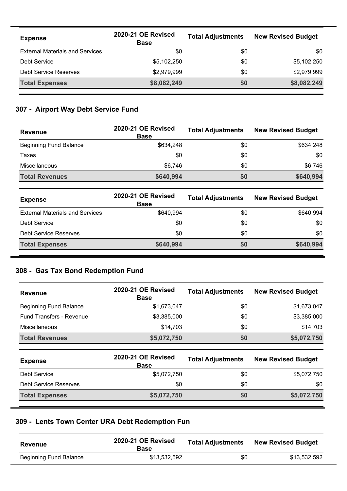| <b>Expense</b>                         | 2020-21 OE Revised<br><b>Base</b> | <b>Total Adjustments</b> | <b>New Revised Budget</b> |
|----------------------------------------|-----------------------------------|--------------------------|---------------------------|
| <b>External Materials and Services</b> | \$0                               | \$0                      | \$0                       |
| Debt Service                           | \$5,102,250                       | \$0                      | \$5,102,250               |
| <b>Debt Service Reserves</b>           | \$2,979,999                       | \$0                      | \$2,979,999               |
| <b>Total Expenses</b>                  | \$8,082,249                       | \$0                      | \$8,082,249               |

### **307 - Airport Way Debt Service Fund**

| <b>Revenue</b>                | 2020-21 OE Revised<br><b>Base</b> | <b>Total Adjustments</b> | <b>New Revised Budget</b> |
|-------------------------------|-----------------------------------|--------------------------|---------------------------|
| <b>Beginning Fund Balance</b> | \$634.248                         | \$0                      | \$634.248                 |
| Taxes                         | \$0                               | \$0                      | \$0                       |
| <b>Miscellaneous</b>          | \$6,746                           | \$0                      | \$6,746                   |
| <b>Total Revenues</b>         | \$640,994                         | \$0                      | \$640,994                 |

| <b>Expense</b>                         | 2020-21 OE Revised<br><b>Base</b> | <b>Total Adjustments</b> | <b>New Revised Budget</b> |
|----------------------------------------|-----------------------------------|--------------------------|---------------------------|
| <b>External Materials and Services</b> | \$640.994                         | \$0                      | \$640,994                 |
| Debt Service                           | \$0                               | \$0                      | \$0                       |
| <b>Debt Service Reserves</b>           | \$0                               | \$0                      | \$0                       |
| <b>Total Expenses</b>                  | \$640,994                         | <b>SO</b>                | \$640,994                 |

#### **308 - Gas Tax Bond Redemption Fund**

| <b>Revenue</b>                  | 2020-21 OE Revised<br><b>Base</b> | <b>Total Adjustments</b> | <b>New Revised Budget</b> |
|---------------------------------|-----------------------------------|--------------------------|---------------------------|
| <b>Beginning Fund Balance</b>   | \$1,673,047                       | \$0                      | \$1,673,047               |
| <b>Fund Transfers - Revenue</b> | \$3,385,000                       | \$0                      | \$3,385,000               |
| Miscellaneous                   | \$14,703                          | \$0                      | \$14,703                  |
| <b>Total Revenues</b>           | \$5,072,750                       | \$0                      | \$5,072,750               |
| <b>Expense</b>                  | 2020-21 OE Revised<br><b>Base</b> | <b>Total Adjustments</b> | <b>New Revised Budget</b> |
| <b>Debt Service</b>             | \$5,072,750                       | \$0                      | \$5,072,750               |

Debt Service Reserves \$0 \$0 \$0 **Total Expenses \$5,072,750 \$0 \$5,072,750**

# **309 - Lents Town Center URA Debt Redemption Fun**

| <b>Revenue</b>         | 2020-21 OE Revised<br><b>Base</b> | <b>Total Adjustments</b> | <b>New Revised Budget</b> |
|------------------------|-----------------------------------|--------------------------|---------------------------|
| Beginning Fund Balance | \$13.532.592                      | \$0                      | \$13,532,592              |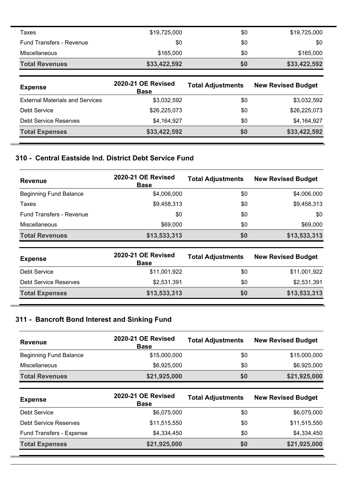| Taxes                                  | \$19,725,000                      | \$0                      | \$19,725,000              |
|----------------------------------------|-----------------------------------|--------------------------|---------------------------|
| <b>Fund Transfers - Revenue</b>        | \$0                               | \$0                      | \$0                       |
| Miscellaneous                          | \$165,000                         | \$0                      | \$165,000                 |
| <b>Total Revenues</b>                  | \$33,422,592                      | \$0                      | \$33,422,592              |
|                                        |                                   |                          |                           |
| <b>Expense</b>                         | 2020-21 OE Revised<br><b>Base</b> | <b>Total Adjustments</b> | <b>New Revised Budget</b> |
| <b>External Materials and Services</b> | \$3,032,592                       | \$0                      | \$3,032,592               |
| Debt Service                           | \$26,225,073                      | \$0                      | \$26,225,073              |
| Debt Service Reserves                  | \$4,164,927                       | \$0                      | \$4,164,927               |

### **310 - Central Eastside Ind. District Debt Service Fund**

| <b>Revenue</b>                  | 2020-21 OE Revised<br><b>Base</b> | <b>Total Adjustments</b> | <b>New Revised Budget</b> |
|---------------------------------|-----------------------------------|--------------------------|---------------------------|
| <b>Beginning Fund Balance</b>   | \$4,006,000                       | \$0                      | \$4,006,000               |
| Taxes                           | \$9,458,313                       | \$0                      | \$9,458,313               |
| <b>Fund Transfers - Revenue</b> | \$0                               | \$0                      | \$0                       |
| <b>Miscellaneous</b>            | \$69,000                          | \$0                      | \$69,000                  |
| <b>Total Revenues</b>           | \$13,533,313                      | \$0                      | \$13,533,313              |

| <b>Expense</b>               | 2020-21 OE Revised<br><b>Base</b> | <b>Total Adjustments</b> | <b>New Revised Budget</b> |
|------------------------------|-----------------------------------|--------------------------|---------------------------|
| Debt Service                 | \$11,001,922                      | \$0                      | \$11,001,922              |
| <b>Debt Service Reserves</b> | \$2,531,391                       | \$0                      | \$2,531,391               |
| <b>Total Expenses</b>        | \$13,533,313                      | \$0                      | \$13,533,313              |

# **311 - Bancroft Bond Interest and Sinking Fund**

| <b>Revenue</b>                | 2020-21 OE Revised<br><b>Base</b> | <b>Total Adjustments</b> | <b>New Revised Budget</b> |
|-------------------------------|-----------------------------------|--------------------------|---------------------------|
| <b>Beginning Fund Balance</b> | \$15,000,000                      | \$0                      | \$15,000,000              |
| <b>Miscellaneous</b>          | \$6,925,000                       | \$0                      | \$6,925,000               |
| <b>Total Revenues</b>         | \$21,925,000                      | \$0                      | \$21,925,000              |

| <b>Expense</b>               | <b>2020-21 OE Revised</b><br><b>Base</b> | <b>Total Adjustments</b> | <b>New Revised Budget</b> |
|------------------------------|------------------------------------------|--------------------------|---------------------------|
| Debt Service                 | \$6,075,000                              | \$0                      | \$6,075,000               |
| <b>Debt Service Reserves</b> | \$11,515,550                             | \$0                      | \$11,515,550              |
| Fund Transfers - Expense     | \$4,334,450                              | \$0                      | \$4,334,450               |
| <b>Total Expenses</b>        | \$21,925,000                             | \$0                      | \$21,925,000              |

 $\overline{\phantom{a}}$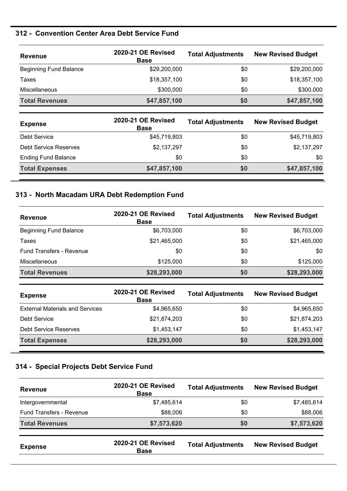### **312 - Convention Center Area Debt Service Fund**

| <b>Revenue</b>                | 2020-21 OE Revised<br><b>Base</b> | <b>Total Adjustments</b> | <b>New Revised Budget</b> |
|-------------------------------|-----------------------------------|--------------------------|---------------------------|
| <b>Beginning Fund Balance</b> | \$29,200,000                      | \$0                      | \$29,200,000              |
| Taxes                         | \$18,357,100                      | \$0                      | \$18,357,100              |
| Miscellaneous                 | \$300,000                         | \$0                      | \$300,000                 |
| <b>Total Revenues</b>         | \$47,857,100                      | \$0                      | \$47,857,100              |

| <b>Expense</b>               | 2020-21 OE Revised<br><b>Base</b> | <b>Total Adjustments</b> | <b>New Revised Budget</b> |
|------------------------------|-----------------------------------|--------------------------|---------------------------|
| Debt Service                 | \$45,719,803                      | \$0                      | \$45,719,803              |
| <b>Debt Service Reserves</b> | \$2,137,297                       | \$0                      | \$2,137,297               |
| <b>Ending Fund Balance</b>   | \$0                               | \$0                      | \$0                       |
| <b>Total Expenses</b>        | \$47,857,100                      | \$0                      | \$47,857,100              |

#### **313 - North Macadam URA Debt Redemption Fund**

| <b>Revenue</b>                  | 2020-21 OE Revised<br><b>Base</b> | <b>Total Adjustments</b> | <b>New Revised Budget</b> |
|---------------------------------|-----------------------------------|--------------------------|---------------------------|
| <b>Beginning Fund Balance</b>   | \$6,703,000                       | \$0                      | \$6,703,000               |
| Taxes                           | \$21,465,000                      | \$0                      | \$21,465,000              |
| <b>Fund Transfers - Revenue</b> | \$0                               | \$0                      | \$0                       |
| <b>Miscellaneous</b>            | \$125,000                         | \$0                      | \$125,000                 |
| <b>Total Revenues</b>           | \$28,293,000                      | \$0                      | \$28,293,000              |

| <b>Expense</b>                         | 2020-21 OE Revised<br><b>Base</b> | <b>Total Adjustments</b> | <b>New Revised Budget</b> |
|----------------------------------------|-----------------------------------|--------------------------|---------------------------|
| <b>External Materials and Services</b> | \$4,965,650                       | \$0                      | \$4,965,650               |
| Debt Service                           | \$21,874,203                      | \$0                      | \$21,874,203              |
| <b>Debt Service Reserves</b>           | \$1,453,147                       | \$0                      | \$1,453,147               |
| <b>Total Expenses</b>                  | \$28,293,000                      | \$0                      | \$28,293,000              |

### **314 - Special Projects Debt Service Fund**

| <b>Revenue</b>           | 2020-21 OE Revised<br><b>Base</b> | <b>Total Adjustments</b> | <b>New Revised Budget</b> |
|--------------------------|-----------------------------------|--------------------------|---------------------------|
| Intergovernmental        | \$7,485,614                       | \$0                      | \$7,485,614               |
| Fund Transfers - Revenue | \$88,006                          | \$0                      | \$88,006                  |
| <b>Total Revenues</b>    | \$7,573,620                       | \$0                      | \$7,573,620               |
| <b>Expense</b>           | 2020-21 OE Revised<br><b>Base</b> | <b>Total Adjustments</b> | <b>New Revised Budget</b> |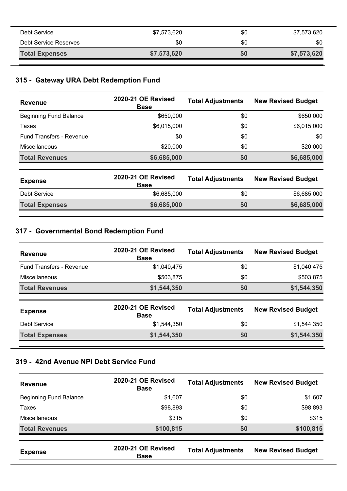| <b>Total Expenses</b> | \$7,573,620 | \$0 | \$7,573,620 |
|-----------------------|-------------|-----|-------------|
| Debt Service Reserves | \$0         | \$0 | \$0         |
| Debt Service          | \$7,573,620 | \$0 | \$7,573,620 |

#### **315 - Gateway URA Debt Redemption Fund**

| <b>Revenue</b>                  | 2020-21 OE Revised<br><b>Base</b> | <b>Total Adjustments</b> | <b>New Revised Budget</b> |
|---------------------------------|-----------------------------------|--------------------------|---------------------------|
| <b>Beginning Fund Balance</b>   | \$650,000                         | \$0                      | \$650,000                 |
| Taxes                           | \$6,015,000                       | \$0                      | \$6,015,000               |
| <b>Fund Transfers - Revenue</b> | \$0                               | \$0                      | \$0                       |
| Miscellaneous                   | \$20,000                          | \$0                      | \$20,000                  |
| <b>Total Revenues</b>           | \$6,685,000                       | \$0                      | \$6,685,000               |
| <b>Expense</b>                  | 2020-21 OE Revised<br><b>Base</b> | <b>Total Adjustments</b> | <b>New Revised Budget</b> |
| Debt Service                    | \$6,685,000                       | \$0                      | \$6,685,000               |

**Total Expenses \$6,685,000 \$0 \$6,685,000**

#### **317 - Governmental Bond Redemption Fund**

| <b>Revenue</b>                  | 2020-21 OE Revised<br><b>Base</b> | <b>Total Adjustments</b> | <b>New Revised Budget</b> |
|---------------------------------|-----------------------------------|--------------------------|---------------------------|
| <b>Fund Transfers - Revenue</b> | \$1,040,475                       | \$0                      | \$1,040,475               |
| <b>Miscellaneous</b>            | \$503,875                         | \$0                      | \$503,875                 |
| <b>Total Revenues</b>           | \$1,544,350                       | \$0                      | \$1,544,350               |
| <b>Expense</b>                  | 2020-21 OE Revised<br><b>Base</b> | <b>Total Adjustments</b> | <b>New Revised Budget</b> |
| Debt Service                    | \$1,544,350                       | \$0                      | \$1,544,350               |
| <b>Total Expenses</b>           | \$1,544,350                       | \$0                      | \$1,544,350               |

### **319 - 42nd Avenue NPI Debt Service Fund**

| <b>Revenue</b>                | 2020-21 OE Revised<br><b>Base</b> | <b>Total Adjustments</b> | <b>New Revised Budget</b> |
|-------------------------------|-----------------------------------|--------------------------|---------------------------|
| <b>Beginning Fund Balance</b> | \$1,607                           | \$0                      | \$1,607                   |
| Taxes                         | \$98,893                          | \$0                      | \$98,893                  |
| <b>Miscellaneous</b>          | \$315                             | \$0                      | \$315                     |
| <b>Total Revenues</b>         | \$100,815                         | \$0                      | \$100,815                 |
| <b>Expense</b>                | 2020-21 OE Revised<br><b>Base</b> | <b>Total Adjustments</b> | <b>New Revised Budget</b> |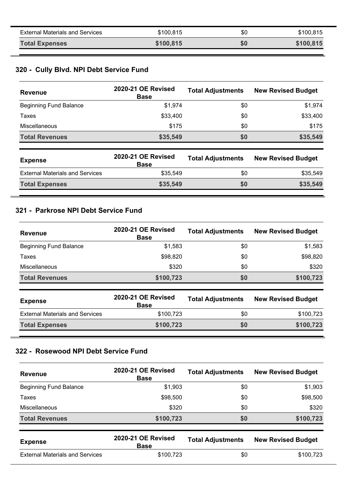| <b>External Materials and Services</b> | \$100.815 | \$0 | \$100,815 |
|----------------------------------------|-----------|-----|-----------|
| <b>Total Expenses</b>                  | \$100,815 | \$0 | \$100,815 |

# **320 - Cully Blvd. NPI Debt Service Fund**

| <b>Revenue</b>                         | 2020-21 OE Revised<br><b>Base</b> | <b>Total Adjustments</b> | <b>New Revised Budget</b> |
|----------------------------------------|-----------------------------------|--------------------------|---------------------------|
| <b>Beginning Fund Balance</b>          | \$1,974                           | \$0                      | \$1,974                   |
| Taxes                                  | \$33,400                          | \$0                      | \$33,400                  |
| <b>Miscellaneous</b>                   | \$175                             | \$0                      | \$175                     |
| <b>Total Revenues</b>                  | \$35,549                          | \$0                      | \$35,549                  |
| <b>Expense</b>                         | 2020-21 OE Revised<br><b>Base</b> | <b>Total Adjustments</b> | <b>New Revised Budget</b> |
| <b>External Materials and Services</b> | \$35,549                          | \$0                      | \$35,549                  |
| <b>Total Expenses</b>                  | \$35,549                          | \$0                      | \$35,549                  |

#### **321 - Parkrose NPI Debt Service Fund**

| <b>Revenue</b>                | 2020-21 OE Revised<br><b>Base</b> | <b>Total Adjustments</b> | <b>New Revised Budget</b> |
|-------------------------------|-----------------------------------|--------------------------|---------------------------|
| <b>Beginning Fund Balance</b> | \$1,583                           | \$0                      | \$1,583                   |
| Taxes                         | \$98,820                          | \$0                      | \$98,820                  |
| <b>Miscellaneous</b>          | \$320                             | \$0                      | \$320                     |
| <b>Total Revenues</b>         | \$100,723                         | \$0                      | \$100,723                 |

| <b>Expense</b>                         | 2020-21 OE Revised<br><b>Base</b> | <b>Total Adjustments</b> | <b>New Revised Budget</b> |
|----------------------------------------|-----------------------------------|--------------------------|---------------------------|
| <b>External Materials and Services</b> | \$100.723                         | \$0                      | \$100.723                 |
| <b>Total Expenses</b>                  | \$100,723                         | 50                       | \$100,723                 |

### **322 - Rosewood NPI Debt Service Fund**

| 2020-21 OE Revised<br><b>Base</b> | <b>Total Adjustments</b> | <b>New Revised Budget</b> |
|-----------------------------------|--------------------------|---------------------------|
| \$1,903                           | \$0                      | \$1,903                   |
| \$98,500                          | \$0                      | \$98,500                  |
| \$320                             | \$0                      | \$320                     |
| \$100,723                         | \$0                      | \$100,723                 |
|                                   |                          |                           |

| <b>Expense</b>                         | 2020-21 OE Revised<br><b>Base</b> | <b>Total Adjustments</b> | <b>New Revised Budget</b> |
|----------------------------------------|-----------------------------------|--------------------------|---------------------------|
| <b>External Materials and Services</b> | \$100,723                         | \$0                      | \$100.723                 |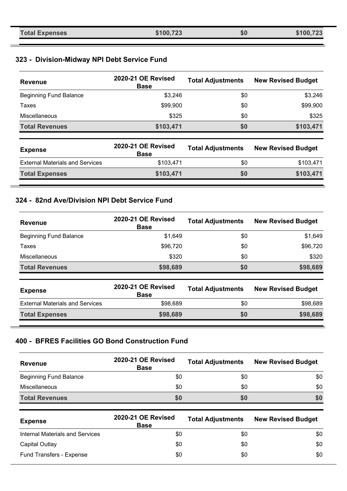| <b>Total Expenses</b> | \$100,723 | \$0 | \$100,723 |
|-----------------------|-----------|-----|-----------|
|-----------------------|-----------|-----|-----------|

# **323 - Division-Midway NPI Debt Service Fund**

| <b>Revenue</b>                         | 2020-21 OE Revised<br><b>Base</b> | <b>Total Adjustments</b> | <b>New Revised Budget</b> |
|----------------------------------------|-----------------------------------|--------------------------|---------------------------|
| <b>Beginning Fund Balance</b>          | \$3,246                           | \$0                      | \$3,246                   |
| Taxes                                  | \$99,900                          | \$0                      | \$99,900                  |
| Miscellaneous                          | \$325                             | \$0                      | \$325                     |
| <b>Total Revenues</b>                  | \$103,471                         | \$0                      | \$103,471                 |
| <b>Expense</b>                         | 2020-21 OE Revised<br><b>Base</b> | <b>Total Adjustments</b> | <b>New Revised Budget</b> |
| <b>External Materials and Services</b> | \$103,471                         | \$0                      | \$103,471                 |
| <b>Total Expenses</b>                  | \$103,471                         | \$0                      | \$103,471                 |

#### **324 - 82nd Ave/Division NPI Debt Service Fund**

| <b>Revenue</b>                | 2020-21 OE Revised<br><b>Base</b> | <b>Total Adjustments</b> | <b>New Revised Budget</b> |
|-------------------------------|-----------------------------------|--------------------------|---------------------------|
| <b>Beginning Fund Balance</b> | \$1,649                           | \$0                      | \$1,649                   |
| Taxes                         | \$96,720                          | \$0                      | \$96,720                  |
| <b>Miscellaneous</b>          | \$320                             | \$0                      | \$320                     |
| <b>Total Revenues</b>         | \$98,689                          | \$0                      | \$98,689                  |

| <b>Expense</b>                         | 2020-21 OE Revised<br><b>Base</b> | <b>Total Adjustments</b> | <b>New Revised Budget</b> |
|----------------------------------------|-----------------------------------|--------------------------|---------------------------|
| <b>External Materials and Services</b> | \$98,689                          | \$0                      | \$98,689                  |
| <b>Total Expenses</b>                  | \$98,689                          | \$0                      | \$98,689                  |

#### **400 - BFRES Facilities GO Bond Construction Fund**

| <b>Revenue</b>                | 2020-21 OE Revised<br><b>Base</b> | <b>Total Adjustments</b> | <b>New Revised Budget</b> |
|-------------------------------|-----------------------------------|--------------------------|---------------------------|
| <b>Beginning Fund Balance</b> | \$0                               | \$0                      | \$0                       |
| <b>Miscellaneous</b>          | \$0                               | \$0                      | \$0                       |
| <b>Total Revenues</b>         | \$0                               | 50                       | \$0                       |

| <b>Expense</b>                         | <b>2020-21 OE Revised</b><br><b>Base</b> | <b>Total Adjustments</b> | <b>New Revised Budget</b> |
|----------------------------------------|------------------------------------------|--------------------------|---------------------------|
| <b>Internal Materials and Services</b> | \$0                                      | \$0                      | \$0                       |
| Capital Outlay                         | \$0                                      | \$0                      | \$0                       |
| Fund Transfers - Expense               | \$0                                      | \$0                      | \$0                       |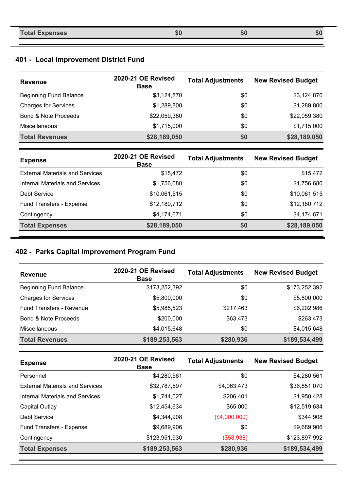| <b>Total Expenses</b><br>ல | 50 | கப |
|----------------------------|----|----|
|----------------------------|----|----|

# **401 - Local Improvement District Fund**

| <b>Revenue</b>                  | 2020-21 OE Revised<br><b>Base</b> | <b>Total Adjustments</b> | <b>New Revised Budget</b> |
|---------------------------------|-----------------------------------|--------------------------|---------------------------|
| <b>Beginning Fund Balance</b>   | \$3,124,870                       | \$0                      | \$3,124,870               |
| <b>Charges for Services</b>     | \$1,289,800                       | \$0                      | \$1,289,800               |
| <b>Bond &amp; Note Proceeds</b> | \$22,059,380                      | \$0                      | \$22,059,380              |
| <b>Miscellaneous</b>            | \$1,715,000                       | \$0                      | \$1,715,000               |
| <b>Total Revenues</b>           | \$28,189,050                      | \$0                      | \$28,189,050              |

| <b>Expense</b>                         | 2020-21 OE Revised<br><b>Base</b> | <b>Total Adjustments</b> | <b>New Revised Budget</b> |
|----------------------------------------|-----------------------------------|--------------------------|---------------------------|
| <b>External Materials and Services</b> | \$15,472                          | \$0                      | \$15,472                  |
| <b>Internal Materials and Services</b> | \$1,756,680                       | \$0                      | \$1,756,680               |
| Debt Service                           | \$10,061,515                      | \$0                      | \$10,061,515              |
| Fund Transfers - Expense               | \$12,180,712                      | \$0                      | \$12,180,712              |
| Contingency                            | \$4,174,671                       | \$0                      | \$4,174,671               |
| <b>Total Expenses</b>                  | \$28,189,050                      | \$0                      | \$28,189,050              |

### **402 - Parks Capital Improvement Program Fund**

| <b>Revenue</b>                  | 2020-21 OE Revised<br><b>Base</b> | <b>Total Adjustments</b> | <b>New Revised Budget</b> |
|---------------------------------|-----------------------------------|--------------------------|---------------------------|
| Beginning Fund Balance          | \$173,252,392                     | \$0                      | \$173,252,392             |
| <b>Charges for Services</b>     | \$5,800,000                       | \$0                      | \$5,800,000               |
| <b>Fund Transfers - Revenue</b> | \$5,985,523                       | \$217,463                | \$6,202,986               |
| <b>Bond &amp; Note Proceeds</b> | \$200,000                         | \$63,473                 | \$263,473                 |
| <b>Miscellaneous</b>            | \$4,015,648                       | \$0                      | \$4,015,648               |
| <b>Total Revenues</b>           | \$189,253,563                     | \$280,936                | \$189,534,499             |

| <b>Expense</b>                         | 2020-21 OE Revised<br><b>Base</b> | <b>Total Adjustments</b> | <b>New Revised Budget</b> |
|----------------------------------------|-----------------------------------|--------------------------|---------------------------|
| Personnel                              | \$4,280,561                       | \$0                      | \$4,280,561               |
| <b>External Materials and Services</b> | \$32,787,597                      | \$4,063,473              | \$36,851,070              |
| <b>Internal Materials and Services</b> | \$1,744,027                       | \$206,401                | \$1,950,428               |
| Capital Outlay                         | \$12,454,634                      | \$65,000                 | \$12,519,634              |
| Debt Service                           | \$4,344,908                       | (\$4,000,000)            | \$344,908                 |
| Fund Transfers - Expense               | \$9,689,906                       | \$0                      | \$9,689,906               |
| Contingency                            | \$123,951,930                     | (\$53,938)               | \$123,897,992             |
| <b>Total Expenses</b>                  | \$189,253,563                     | \$280,936                | \$189,534,499             |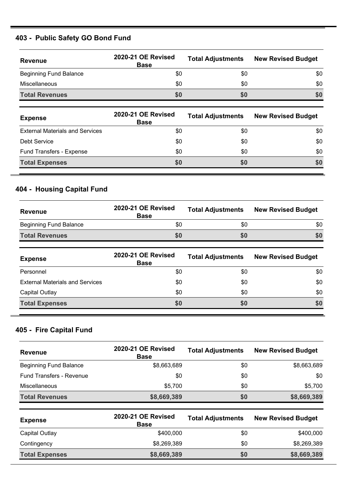# **403 - Public Safety GO Bond Fund**

| <b>Revenue</b>                | 2020-21 OE Revised<br><b>Base</b> | <b>Total Adjustments</b> | <b>New Revised Budget</b> |
|-------------------------------|-----------------------------------|--------------------------|---------------------------|
| <b>Beginning Fund Balance</b> | \$0                               | \$0                      | \$0                       |
| Miscellaneous                 | \$0                               | \$0                      | \$0                       |
| <b>Total Revenues</b>         | \$0                               | <b>SO</b>                | \$0                       |

| <b>Expense</b>                         | 2020-21 OE Revised<br><b>Base</b> | <b>Total Adjustments</b> | <b>New Revised Budget</b> |
|----------------------------------------|-----------------------------------|--------------------------|---------------------------|
| <b>External Materials and Services</b> | \$0                               | \$0                      | \$0                       |
| Debt Service                           | \$0                               | \$0                      | \$0                       |
| Fund Transfers - Expense               | \$0                               | \$0                      | \$0                       |
| <b>Total Expenses</b>                  | \$0                               | \$0                      | \$0                       |

# **404 - Housing Capital Fund**

| Revenue                       | 2020-21 OE Revised<br><b>Base</b> | <b>Total Adjustments</b> | <b>New Revised Budget</b> |
|-------------------------------|-----------------------------------|--------------------------|---------------------------|
| <b>Beginning Fund Balance</b> | \$0                               | \$0                      | \$0                       |
| <b>Total Revenues</b>         |                                   | 50                       | \$0                       |

| <b>Expense</b>                         | 2020-21 OE Revised<br><b>Base</b> | <b>Total Adjustments</b> | <b>New Revised Budget</b> |
|----------------------------------------|-----------------------------------|--------------------------|---------------------------|
| Personnel                              | \$0                               | \$0                      | \$0                       |
| <b>External Materials and Services</b> | \$0                               | \$0                      | \$0                       |
| Capital Outlay                         | \$0                               | \$0                      | \$0                       |
| <b>Total Expenses</b>                  | \$0                               | \$0                      | \$0                       |

# **405 - Fire Capital Fund**

| <b>Revenue</b>                  | 2020-21 OE Revised<br><b>Base</b> | <b>Total Adjustments</b> | <b>New Revised Budget</b> |
|---------------------------------|-----------------------------------|--------------------------|---------------------------|
| <b>Beginning Fund Balance</b>   | \$8,663,689                       | \$0                      | \$8,663,689               |
| <b>Fund Transfers - Revenue</b> | \$0                               | \$0                      | \$0                       |
| <b>Miscellaneous</b>            | \$5,700                           | \$0                      | \$5.700                   |
| <b>Total Revenues</b>           | \$8,669,389                       | \$0                      | \$8,669,389               |

| <b>Expense</b>        | <b>2020-21 OE Revised</b><br><b>Base</b> | <b>Total Adjustments</b> | <b>New Revised Budget</b> |
|-----------------------|------------------------------------------|--------------------------|---------------------------|
| Capital Outlay        | \$400,000                                | \$0                      | \$400,000                 |
| Contingency           | \$8,269,389                              | \$0                      | \$8,269,389               |
| <b>Total Expenses</b> | \$8,669,389                              | \$0                      | \$8,669,389               |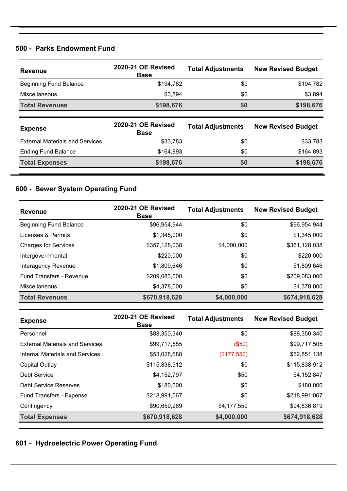#### **500 - Parks Endowment Fund**

| <b>Revenue</b>                | 2020-21 OE Revised<br><b>Base</b> | <b>Total Adjustments</b> | <b>New Revised Budget</b> |
|-------------------------------|-----------------------------------|--------------------------|---------------------------|
| <b>Beginning Fund Balance</b> | \$194,782                         | \$0                      | \$194,782                 |
| <b>Miscellaneous</b>          | \$3,894                           | \$0                      | \$3,894                   |
| <b>Total Revenues</b>         | \$198,676                         | \$0                      | \$198,676                 |
|                               |                                   |                          |                           |

| <b>Expense</b>                         | 2020-21 OE Revised<br><b>Base</b> | <b>Total Adjustments</b> | <b>New Revised Budget</b> |
|----------------------------------------|-----------------------------------|--------------------------|---------------------------|
| <b>External Materials and Services</b> | \$33,783                          | \$0                      | \$33,783                  |
| <b>Ending Fund Balance</b>             | \$164.893                         | \$0                      | \$164,893                 |
| <b>Total Expenses</b>                  | \$198,676                         | \$0                      | \$198,676                 |

### **600 - Sewer System Operating Fund**

| <b>Revenue</b>                  | 2020-21 OE Revised<br><b>Base</b> | <b>Total Adjustments</b> | <b>New Revised Budget</b> |
|---------------------------------|-----------------------------------|--------------------------|---------------------------|
| <b>Beginning Fund Balance</b>   | \$96,954,944                      | \$0                      | \$96,954,944              |
| Licenses & Permits              | \$1,345,000                       | \$0                      | \$1,345,000               |
| <b>Charges for Services</b>     | \$357,128,038                     | \$4,000,000              | \$361,128,038             |
| Intergovernmental               | \$220,000                         | \$0                      | \$220,000                 |
| Interagency Revenue             | \$1,809,646                       | \$0                      | \$1,809,646               |
| <b>Fund Transfers - Revenue</b> | \$209,083,000                     | \$0                      | \$209,083,000             |
| Miscellaneous                   | \$4,378,000                       | \$0                      | \$4,378,000               |
| <b>Total Revenues</b>           | \$670,918,628                     | \$4,000,000              | \$674,918,628             |

| <b>Expense</b>                         | 2020-21 OE Revised<br><b>Base</b> | <b>Total Adjustments</b> | <b>New Revised Budget</b> |
|----------------------------------------|-----------------------------------|--------------------------|---------------------------|
| Personnel                              | \$88,350,340                      | \$0                      | \$88,350,340              |
| <b>External Materials and Services</b> | \$99,717,555                      | (\$50)                   | \$99,717,505              |
| Internal Materials and Services        | \$53,028,688                      | (\$177,550)              | \$52,851,138              |
| Capital Outlay                         | \$115,838,912                     | \$0                      | \$115,838,912             |
| Debt Service                           | \$4,152,797                       | \$50                     | \$4,152,847               |
| Debt Service Reserves                  | \$180,000                         | \$0                      | \$180,000                 |
| <b>Fund Transfers - Expense</b>        | \$218,991,067                     | \$0                      | \$218,991,067             |
| Contingency                            | \$90,659,269                      | \$4,177,550              | \$94,836,819              |
| <b>Total Expenses</b>                  | \$670,918,628                     | \$4,000,000              | \$674,918,628             |

### **601 - Hydroelectric Power Operating Fund**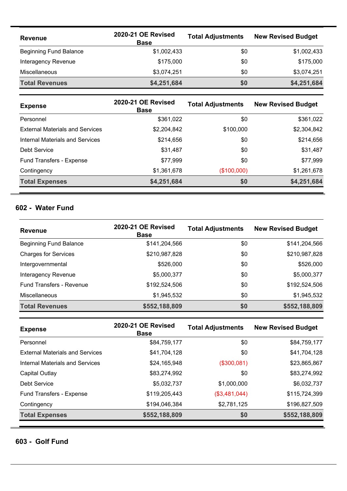| <b>Revenue</b>                | 2020-21 OE Revised<br><b>Base</b> | <b>Total Adjustments</b> | <b>New Revised Budget</b> |
|-------------------------------|-----------------------------------|--------------------------|---------------------------|
| <b>Beginning Fund Balance</b> | \$1,002,433                       | \$0                      | \$1,002,433               |
| Interagency Revenue           | \$175,000                         | \$0                      | \$175,000                 |
| <b>Miscellaneous</b>          | \$3,074,251                       | \$0                      | \$3,074,251               |
| <b>Total Revenues</b>         | \$4,251,684                       | \$0                      | \$4,251,684               |

| <b>Expense</b>                         | 2020-21 OE Revised<br><b>Base</b> | <b>Total Adjustments</b> | <b>New Revised Budget</b> |
|----------------------------------------|-----------------------------------|--------------------------|---------------------------|
| Personnel                              | \$361,022                         | \$0                      | \$361,022                 |
| <b>External Materials and Services</b> | \$2,204,842                       | \$100,000                | \$2,304,842               |
| Internal Materials and Services        | \$214,656                         | \$0                      | \$214,656                 |
| Debt Service                           | \$31,487                          | \$0                      | \$31,487                  |
| Fund Transfers - Expense               | \$77,999                          | \$0                      | \$77,999                  |
| Contingency                            | \$1,361,678                       | (\$100,000)              | \$1,261,678               |
| <b>Total Expenses</b>                  | \$4,251,684                       | \$0                      | \$4,251,684               |

### **602 - Water Fund**

| <b>Revenue</b>                | 2020-21 OE Revised<br><b>Base</b> | <b>Total Adjustments</b> | <b>New Revised Budget</b> |
|-------------------------------|-----------------------------------|--------------------------|---------------------------|
| <b>Beginning Fund Balance</b> | \$141,204,566                     | \$0                      | \$141,204,566             |
| <b>Charges for Services</b>   | \$210,987,828                     | \$0                      | \$210,987,828             |
| Intergovernmental             | \$526,000                         | \$0                      | \$526,000                 |
| Interagency Revenue           | \$5,000,377                       | \$0                      | \$5,000,377               |
| Fund Transfers - Revenue      | \$192,524,506                     | \$0                      | \$192,524,506             |
| <b>Miscellaneous</b>          | \$1,945,532                       | \$0                      | \$1,945,532               |
| <b>Total Revenues</b>         | \$552,188,809                     | \$0                      | \$552,188,809             |

| <b>Expense</b>                         | 2020-21 OE Revised<br><b>Base</b> | <b>Total Adjustments</b> | <b>New Revised Budget</b> |
|----------------------------------------|-----------------------------------|--------------------------|---------------------------|
| Personnel                              | \$84,759,177                      | \$0                      | \$84,759,177              |
| <b>External Materials and Services</b> | \$41,704,128                      | \$0                      | \$41,704,128              |
| Internal Materials and Services        | \$24,165,948                      | (\$300,081)              | \$23,865,867              |
| Capital Outlay                         | \$83,274,992                      | \$0                      | \$83,274,992              |
| Debt Service                           | \$5,032,737                       | \$1,000,000              | \$6,032,737               |
| Fund Transfers - Expense               | \$119,205,443                     | (\$3,481,044)            | \$115,724,399             |
| Contingency                            | \$194,046,384                     | \$2,781,125              | \$196,827,509             |
| <b>Total Expenses</b>                  | \$552,188,809                     | \$0                      | \$552,188,809             |

#### **603 - Golf Fund**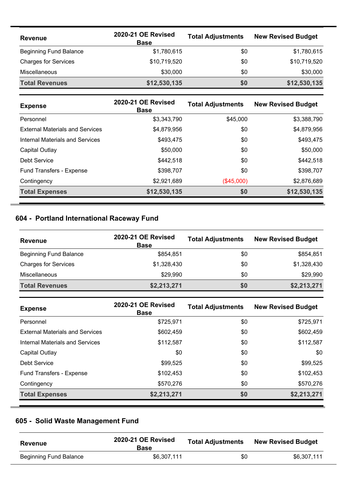| <b>Revenue</b>                | 2020-21 OE Revised<br><b>Base</b> | <b>Total Adjustments</b> | <b>New Revised Budget</b> |
|-------------------------------|-----------------------------------|--------------------------|---------------------------|
| <b>Beginning Fund Balance</b> | \$1,780,615                       | \$0                      | \$1,780,615               |
| <b>Charges for Services</b>   | \$10,719,520                      | \$0                      | \$10,719,520              |
| <b>Miscellaneous</b>          | \$30,000                          | \$0                      | \$30,000                  |
| <b>Total Revenues</b>         | \$12,530,135                      | \$0                      | \$12,530,135              |

| <b>Expense</b>                         | 2020-21 OE Revised<br><b>Base</b> | <b>Total Adjustments</b> | <b>New Revised Budget</b> |
|----------------------------------------|-----------------------------------|--------------------------|---------------------------|
| Personnel                              | \$3.343.790                       | \$45,000                 | \$3,388,790               |
| <b>External Materials and Services</b> | \$4,879,956                       | \$0                      | \$4,879,956               |
| Internal Materials and Services        | \$493,475                         | \$0                      | \$493,475                 |
| Capital Outlay                         | \$50,000                          | \$0                      | \$50,000                  |
| Debt Service                           | \$442.518                         | \$0                      | \$442,518                 |
| Fund Transfers - Expense               | \$398.707                         | \$0                      | \$398,707                 |
| Contingency                            | \$2,921,689                       | (\$45,000)               | \$2,876,689               |
| <b>Total Expenses</b>                  | \$12,530,135                      | \$0                      | \$12,530,135              |

# **604 - Portland International Raceway Fund**

| <b>Revenue</b>                | 2020-21 OE Revised<br><b>Base</b> | <b>Total Adjustments</b> | <b>New Revised Budget</b> |
|-------------------------------|-----------------------------------|--------------------------|---------------------------|
| <b>Beginning Fund Balance</b> | \$854,851                         | \$0                      | \$854,851                 |
| <b>Charges for Services</b>   | \$1,328,430                       | \$0                      | \$1,328,430               |
| Miscellaneous                 | \$29,990                          | \$0                      | \$29,990                  |
| <b>Total Revenues</b>         | \$2,213,271                       | \$0                      | \$2,213,271               |

| <b>Expense</b>                         | 2020-21 OE Revised<br><b>Base</b> | <b>Total Adjustments</b> | <b>New Revised Budget</b> |
|----------------------------------------|-----------------------------------|--------------------------|---------------------------|
| Personnel                              | \$725,971                         | \$0                      | \$725,971                 |
| <b>External Materials and Services</b> | \$602,459                         | \$0                      | \$602,459                 |
| Internal Materials and Services        | \$112,587                         | \$0                      | \$112,587                 |
| Capital Outlay                         | \$0                               | \$0                      | \$0                       |
| Debt Service                           | \$99,525                          | \$0                      | \$99,525                  |
| Fund Transfers - Expense               | \$102,453                         | \$0                      | \$102,453                 |
| Contingency                            | \$570,276                         | \$0                      | \$570,276                 |
| <b>Total Expenses</b>                  | \$2,213,271                       | \$0                      | \$2,213,271               |

# **605 - Solid Waste Management Fund**

| Revenue                | 2020-21 OE Revised<br><b>Base</b> | <b>Total Adjustments</b> | <b>New Revised Budget</b> |
|------------------------|-----------------------------------|--------------------------|---------------------------|
| Beginning Fund Balance | \$6.307.111                       | \$0                      | \$6.307.111               |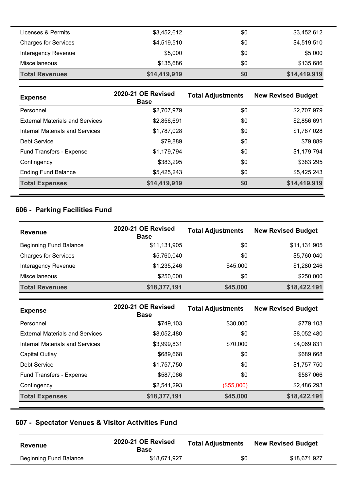| <b>Miscellaneous</b><br><b>Total Revenues</b> | \$135,686<br>\$14,419,919 | \$0<br>\$0 | \$135,686<br>\$14,419,919 |
|-----------------------------------------------|---------------------------|------------|---------------------------|
|                                               |                           |            |                           |
| Interagency Revenue                           | \$5,000                   | \$0        | \$5,000                   |
| <b>Charges for Services</b>                   | \$4,519,510               | \$0        | \$4,519,510               |
| Licenses & Permits                            | \$3,452,612               | \$0        | \$3,452,612               |

| <b>Expense</b>                         | 2020-21 OE Revised<br><b>Base</b> | <b>Total Adjustments</b> | <b>New Revised Budget</b> |
|----------------------------------------|-----------------------------------|--------------------------|---------------------------|
| Personnel                              | \$2,707,979                       | \$0                      | \$2,707,979               |
| <b>External Materials and Services</b> | \$2,856,691                       | \$0                      | \$2,856,691               |
| <b>Internal Materials and Services</b> | \$1,787,028                       | \$0                      | \$1,787,028               |
| Debt Service                           | \$79,889                          | \$0                      | \$79,889                  |
| <b>Fund Transfers - Expense</b>        | \$1,179,794                       | \$0                      | \$1,179,794               |
| Contingency                            | \$383,295                         | \$0                      | \$383,295                 |
| <b>Ending Fund Balance</b>             | \$5,425,243                       | \$0                      | \$5,425,243               |
| <b>Total Expenses</b>                  | \$14,419,919                      | \$0                      | \$14,419,919              |

# **606 - Parking Facilities Fund**

| <b>Revenue</b>                | 2020-21 OE Revised<br><b>Base</b> | <b>Total Adjustments</b> | <b>New Revised Budget</b> |
|-------------------------------|-----------------------------------|--------------------------|---------------------------|
| <b>Beginning Fund Balance</b> | \$11,131,905                      | \$0                      | \$11,131,905              |
| <b>Charges for Services</b>   | \$5,760,040                       | \$0                      | \$5,760,040               |
| Interagency Revenue           | \$1,235,246                       | \$45,000                 | \$1,280,246               |
| <b>Miscellaneous</b>          | \$250,000                         | \$0                      | \$250,000                 |
| <b>Total Revenues</b>         | \$18,377,191                      | \$45,000                 | \$18,422,191              |

| <b>Expense</b>                         | 2020-21 OE Revised<br><b>Base</b> | <b>Total Adjustments</b> | <b>New Revised Budget</b> |
|----------------------------------------|-----------------------------------|--------------------------|---------------------------|
| Personnel                              | \$749.103                         | \$30,000                 | \$779,103                 |
| <b>External Materials and Services</b> | \$8,052,480                       | \$0                      | \$8,052,480               |
| Internal Materials and Services        | \$3,999,831                       | \$70,000                 | \$4,069,831               |
| Capital Outlay                         | \$689,668                         | \$0                      | \$689,668                 |
| Debt Service                           | \$1,757,750                       | \$0                      | \$1,757,750               |
| <b>Fund Transfers - Expense</b>        | \$587,066                         | \$0                      | \$587,066                 |
| Contingency                            | \$2,541,293                       | (\$55,000)               | \$2,486,293               |
| <b>Total Expenses</b>                  | \$18,377,191                      | \$45,000                 | \$18,422,191              |

# **607 - Spectator Venues & Visitor Activities Fund**

| <b>Revenue</b>         | 2020-21 OE Revised<br><b>Base</b> | <b>Total Adjustments</b> | <b>New Revised Budget</b> |
|------------------------|-----------------------------------|--------------------------|---------------------------|
| Beginning Fund Balance | \$18,671,927                      | \$0                      | \$18.671.927              |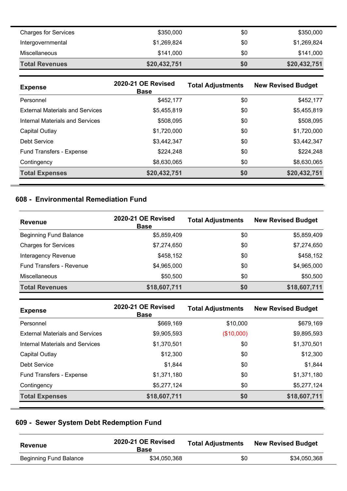| <b>Charges for Services</b> | \$350,000    | \$0 | \$350,000    |
|-----------------------------|--------------|-----|--------------|
| Intergovernmental           | \$1,269,824  | \$0 | \$1,269,824  |
| Miscellaneous               | \$141.000    | \$0 | \$141,000    |
| <b>Total Revenues</b>       | \$20,432,751 | \$0 | \$20,432,751 |

| <b>Expense</b>                         | 2020-21 OE Revised<br><b>Base</b> | <b>Total Adjustments</b> | <b>New Revised Budget</b> |
|----------------------------------------|-----------------------------------|--------------------------|---------------------------|
| Personnel                              | \$452,177                         | \$0                      | \$452,177                 |
| <b>External Materials and Services</b> | \$5,455,819                       | \$0                      | \$5,455,819               |
| Internal Materials and Services        | \$508,095                         | \$0                      | \$508,095                 |
| Capital Outlay                         | \$1,720,000                       | \$0                      | \$1,720,000               |
| Debt Service                           | \$3,442,347                       | \$0                      | \$3,442,347               |
| <b>Fund Transfers - Expense</b>        | \$224,248                         | \$0                      | \$224,248                 |
| Contingency                            | \$8,630,065                       | \$0                      | \$8,630,065               |
| <b>Total Expenses</b>                  | \$20,432,751                      | \$0                      | \$20,432,751              |

# **608 - Environmental Remediation Fund**

| <b>Revenue</b>                  | <b>2020-21 OE Revised</b><br><b>Base</b> | <b>Total Adjustments</b> | <b>New Revised Budget</b> |
|---------------------------------|------------------------------------------|--------------------------|---------------------------|
| <b>Beginning Fund Balance</b>   | \$5,859,409                              | \$0                      | \$5,859,409               |
| <b>Charges for Services</b>     | \$7,274,650                              | \$0                      | \$7,274,650               |
| Interagency Revenue             | \$458,152                                | \$0                      | \$458,152                 |
| <b>Fund Transfers - Revenue</b> | \$4,965,000                              | \$0                      | \$4,965,000               |
| <b>Miscellaneous</b>            | \$50,500                                 | \$0                      | \$50,500                  |
| <b>Total Revenues</b>           | \$18,607,711                             | \$0                      | \$18,607,711              |

| <b>Expense</b>                         | 2020-21 OE Revised<br><b>Base</b> | <b>Total Adjustments</b> | <b>New Revised Budget</b> |
|----------------------------------------|-----------------------------------|--------------------------|---------------------------|
| Personnel                              | \$669,169                         | \$10,000                 | \$679,169                 |
| <b>External Materials and Services</b> | \$9,905,593                       | (\$10,000)               | \$9,895,593               |
| Internal Materials and Services        | \$1,370,501                       | \$0                      | \$1,370,501               |
| Capital Outlay                         | \$12,300                          | \$0                      | \$12,300                  |
| Debt Service                           | \$1,844                           | \$0                      | \$1,844                   |
| Fund Transfers - Expense               | \$1,371,180                       | \$0                      | \$1,371,180               |
| Contingency                            | \$5,277,124                       | \$0                      | \$5,277,124               |
| <b>Total Expenses</b>                  | \$18,607,711                      | \$0                      | \$18,607,711              |

# **609 - Sewer System Debt Redemption Fund**

| Revenue                | 2020-21 OE Revised<br><b>Base</b> | <b>Total Adjustments</b> | <b>New Revised Budget</b> |
|------------------------|-----------------------------------|--------------------------|---------------------------|
| Beginning Fund Balance | \$34,050,368                      | \$0                      | \$34,050,368              |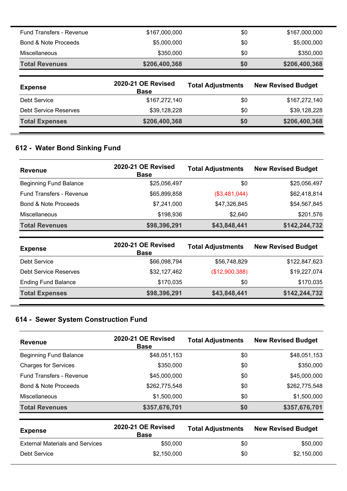| <b>Fund Transfers - Revenue</b> | \$167,000,000                     | \$0                      | \$167,000,000             |
|---------------------------------|-----------------------------------|--------------------------|---------------------------|
| Bond & Note Proceeds            | \$5,000,000                       | \$0                      | \$5,000,000               |
| Miscellaneous                   | \$350,000                         | \$0                      | \$350,000                 |
| <b>Total Revenues</b>           | \$206,400,368                     | \$0                      | \$206,400,368             |
|                                 |                                   |                          |                           |
| <b>Expense</b>                  | 2020-21 OE Revised<br><b>Base</b> | <b>Total Adjustments</b> | <b>New Revised Budget</b> |
| Debt Service                    | \$167,272,140                     | \$0                      | \$167,272,140             |
| Debt Service Reserves           | \$39,128,228                      | \$0                      | \$39,128,228              |

# **612 - Water Bond Sinking Fund**

| <b>Revenue</b>                  | 2020-21 OE Revised<br><b>Base</b> | <b>Total Adjustments</b> | <b>New Revised Budget</b> |
|---------------------------------|-----------------------------------|--------------------------|---------------------------|
| <b>Beginning Fund Balance</b>   | \$25,056,497                      | \$0                      | \$25,056,497              |
| <b>Fund Transfers - Revenue</b> | \$65,899,858                      | (\$3,481,044)            | \$62,418,814              |
| <b>Bond &amp; Note Proceeds</b> | \$7,241,000                       | \$47,326,845             | \$54,567,845              |
| Miscellaneous                   | \$198,936                         | \$2,640                  | \$201,576                 |
| <b>Total Revenues</b>           | \$98,396,291                      | \$43,848,441             | \$142,244,732             |

| <b>Expense</b>               | 2020-21 OE Revised<br><b>Base</b> | <b>Total Adjustments</b> | <b>New Revised Budget</b> |
|------------------------------|-----------------------------------|--------------------------|---------------------------|
| Debt Service                 | \$66,098,794                      | \$56,748,829             | \$122,847,623             |
| <b>Debt Service Reserves</b> | \$32,127,462                      | (\$12,900,388)           | \$19,227,074              |
| <b>Ending Fund Balance</b>   | \$170,035                         | \$0                      | \$170,035                 |
| <b>Total Expenses</b>        | \$98,396,291                      | \$43,848,441             | \$142,244,732             |

# **614 - Sewer System Construction Fund**

| <b>Revenue</b>                  | 2020-21 OE Revised<br><b>Base</b> | <b>Total Adjustments</b> | <b>New Revised Budget</b> |
|---------------------------------|-----------------------------------|--------------------------|---------------------------|
| <b>Beginning Fund Balance</b>   | \$48,051,153                      | \$0                      | \$48,051,153              |
| <b>Charges for Services</b>     | \$350,000                         | \$0                      | \$350,000                 |
| <b>Fund Transfers - Revenue</b> | \$45,000,000                      | \$0                      | \$45,000,000              |
| Bond & Note Proceeds            | \$262,775,548                     | \$0                      | \$262,775,548             |
| <b>Miscellaneous</b>            | \$1,500,000                       | \$0                      | \$1,500,000               |
| <b>Total Revenues</b>           | \$357,676,701                     | \$0                      | \$357,676,701             |

| <b>Expense</b>                         | 2020-21 OE Revised<br><b>Base</b> | <b>Total Adjustments</b> | <b>New Revised Budget</b> |
|----------------------------------------|-----------------------------------|--------------------------|---------------------------|
| <b>External Materials and Services</b> | \$50,000                          | \$0                      | \$50,000                  |
| Debt Service                           | \$2,150,000                       | \$0                      | \$2,150,000               |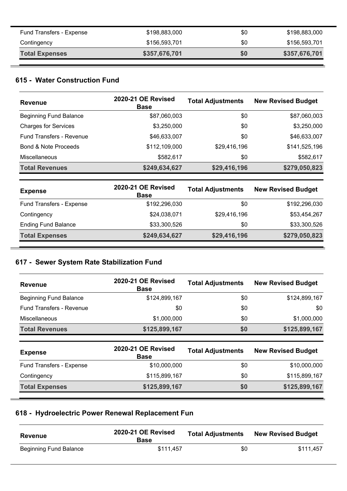| Fund Transfers - Expense | \$198,883,000 | \$0 | \$198,883,000 |
|--------------------------|---------------|-----|---------------|
| Contingency              | \$156,593,701 | \$0 | \$156,593,701 |
| <b>Total Expenses</b>    | \$357,676,701 | \$0 | \$357,676,701 |

### **615 - Water Construction Fund**

| <b>Revenue</b>                  | 2020-21 OE Revised<br><b>Base</b> | <b>Total Adjustments</b> | <b>New Revised Budget</b> |
|---------------------------------|-----------------------------------|--------------------------|---------------------------|
| <b>Beginning Fund Balance</b>   | \$87,060,003                      | \$0                      | \$87,060,003              |
| <b>Charges for Services</b>     | \$3,250,000                       | \$0                      | \$3,250,000               |
| Fund Transfers - Revenue        | \$46,633,007                      | \$0                      | \$46,633,007              |
| <b>Bond &amp; Note Proceeds</b> | \$112,109,000                     | \$29,416,196             | \$141,525,196             |
| <b>Miscellaneous</b>            | \$582,617                         | \$0                      | \$582,617                 |
| <b>Total Revenues</b>           | \$249,634,627                     | \$29,416,196             | \$279,050,823             |

| <b>Expense</b>             | 2020-21 OE Revised<br><b>Base</b> | <b>Total Adjustments</b> | <b>New Revised Budget</b> |
|----------------------------|-----------------------------------|--------------------------|---------------------------|
| Fund Transfers - Expense   | \$192,296,030                     | \$0                      | \$192,296,030             |
| Contingency                | \$24,038,071                      | \$29,416,196             | \$53,454,267              |
| <b>Ending Fund Balance</b> | \$33,300,526                      | \$0                      | \$33,300,526              |
| <b>Total Expenses</b>      | \$249,634,627                     | \$29,416,196             | \$279,050,823             |

# **617 - Sewer System Rate Stabilization Fund**

| <b>Revenue</b>                  | 2020-21 OE Revised<br><b>Base</b> | <b>Total Adjustments</b> | <b>New Revised Budget</b> |
|---------------------------------|-----------------------------------|--------------------------|---------------------------|
| <b>Beginning Fund Balance</b>   | \$124,899,167                     | \$0                      | \$124,899,167             |
| <b>Fund Transfers - Revenue</b> | \$0                               | \$0                      | \$0                       |
| Miscellaneous                   | \$1,000,000                       | \$0                      | \$1,000,000               |
| <b>Total Revenues</b>           | \$125,899,167                     | \$0                      | \$125,899,167             |
| <b>Expense</b>                  | 2020-21 OE Revised<br><b>Base</b> | <b>Total Adjustments</b> | <b>New Revised Budget</b> |
| Fund Transfers - Expense        | \$10,000,000                      | \$0                      | \$10,000,000              |

| Contingency           | \$115,899,167 | \$0 | \$115,899,167 |
|-----------------------|---------------|-----|---------------|
| <b>Total Expenses</b> | \$125,899,167 | \$0 | \$125,899,167 |

# **618 - Hydroelectric Power Renewal Replacement Fun**

| Revenue                | 2020-21 OE Revised<br><b>Base</b> | <b>Total Adjustments</b> | <b>New Revised Budget</b> |
|------------------------|-----------------------------------|--------------------------|---------------------------|
| Beginning Fund Balance | \$111,457                         | \$0                      | \$111.457                 |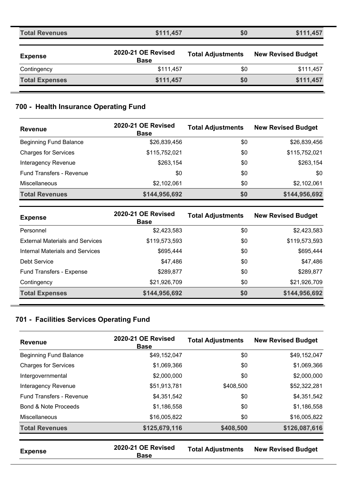| <b>Total Revenues</b> | \$111,457                         | \$0                      | \$111,457                 |
|-----------------------|-----------------------------------|--------------------------|---------------------------|
| <b>Expense</b>        | 2020-21 OE Revised<br><b>Base</b> | <b>Total Adjustments</b> | <b>New Revised Budget</b> |
| Contingency           | \$111,457                         | \$0                      | \$111,457                 |
| <b>Total Expenses</b> | \$111,457                         | \$0                      | \$111,457                 |

# **700 - Health Insurance Operating Fund**

| <b>Revenue</b>                  | 2020-21 OE Revised<br><b>Base</b> | <b>Total Adjustments</b> | <b>New Revised Budget</b> |
|---------------------------------|-----------------------------------|--------------------------|---------------------------|
| <b>Beginning Fund Balance</b>   | \$26,839,456                      | \$0                      | \$26,839,456              |
| <b>Charges for Services</b>     | \$115,752,021                     | \$0                      | \$115,752,021             |
| Interagency Revenue             | \$263,154                         | \$0                      | \$263,154                 |
| <b>Fund Transfers - Revenue</b> | \$0                               | \$0                      | \$0                       |
| <b>Miscellaneous</b>            | \$2,102,061                       | \$0                      | \$2,102,061               |
| <b>Total Revenues</b>           | \$144,956,692                     | \$0                      | \$144,956,692             |

| <b>Expense</b>                         | 2020-21 OE Revised<br><b>Base</b> | <b>Total Adjustments</b> | <b>New Revised Budget</b> |
|----------------------------------------|-----------------------------------|--------------------------|---------------------------|
| Personnel                              | \$2,423,583                       | \$0                      | \$2,423,583               |
| <b>External Materials and Services</b> | \$119,573,593                     | \$0                      | \$119,573,593             |
| Internal Materials and Services        | \$695,444                         | \$0                      | \$695,444                 |
| Debt Service                           | \$47,486                          | \$0                      | \$47,486                  |
| Fund Transfers - Expense               | \$289,877                         | \$0                      | \$289,877                 |
| Contingency                            | \$21,926,709                      | \$0                      | \$21,926,709              |
| <b>Total Expenses</b>                  | \$144,956,692                     | \$0                      | \$144,956,692             |

# **701 - Facilities Services Operating Fund**

| <b>Revenue</b>                  | 2020-21 OE Revised<br><b>Base</b> | <b>Total Adjustments</b> | <b>New Revised Budget</b> |
|---------------------------------|-----------------------------------|--------------------------|---------------------------|
| <b>Beginning Fund Balance</b>   | \$49,152,047                      | \$0                      | \$49,152,047              |
| <b>Charges for Services</b>     | \$1,069,366                       | \$0                      | \$1,069,366               |
| Intergovernmental               | \$2,000,000                       | \$0                      | \$2,000,000               |
| Interagency Revenue             | \$51,913,781                      | \$408,500                | \$52,322,281              |
| <b>Fund Transfers - Revenue</b> | \$4,351,542                       | \$0                      | \$4,351,542               |
| Bond & Note Proceeds            | \$1,186,558                       | \$0                      | \$1,186,558               |
| <b>Miscellaneous</b>            | \$16,005,822                      | \$0                      | \$16,005,822              |
| <b>Total Revenues</b>           | \$125,679,116                     | \$408,500                | \$126,087,616             |

| <b>Expense</b> | 2020-21 OE Revised<br>Base | <b>Total Adjustments</b> | <b>New Revised Budget</b> |
|----------------|----------------------------|--------------------------|---------------------------|
|                |                            |                          |                           |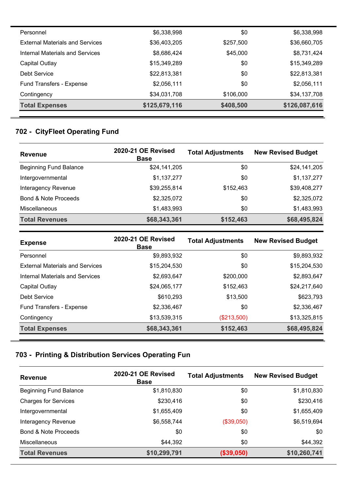| Personnel                              | \$6,338,998   | \$0       | \$6,338,998   |
|----------------------------------------|---------------|-----------|---------------|
| <b>External Materials and Services</b> | \$36,403,205  | \$257,500 | \$36,660,705  |
| Internal Materials and Services        | \$8,686,424   | \$45,000  | \$8,731,424   |
| Capital Outlay                         | \$15,349,289  | \$0       | \$15,349,289  |
| Debt Service                           | \$22,813,381  | \$0       | \$22,813,381  |
| Fund Transfers - Expense               | \$2,056,111   | \$0       | \$2,056,111   |
| Contingency                            | \$34,031,708  | \$106,000 | \$34,137,708  |
| <b>Total Expenses</b>                  | \$125,679,116 | \$408,500 | \$126,087,616 |

# **702 - CityFleet Operating Fund**

| <b>Revenue</b>                  | 2020-21 OE Revised<br><b>Base</b> | <b>Total Adjustments</b> | <b>New Revised Budget</b> |
|---------------------------------|-----------------------------------|--------------------------|---------------------------|
| <b>Beginning Fund Balance</b>   | \$24,141,205                      | \$0                      | \$24,141,205              |
| Intergovernmental               | \$1,137,277                       | \$0                      | \$1,137,277               |
| Interagency Revenue             | \$39,255,814                      | \$152,463                | \$39,408,277              |
| <b>Bond &amp; Note Proceeds</b> | \$2,325,072                       | \$0                      | \$2,325,072               |
| <b>Miscellaneous</b>            | \$1,483,993                       | \$0                      | \$1,483,993               |
| <b>Total Revenues</b>           | \$68,343,361                      | \$152,463                | \$68,495,824              |

| <b>Expense</b>                         | 2020-21 OE Revised<br><b>Base</b> | <b>Total Adjustments</b> | <b>New Revised Budget</b> |
|----------------------------------------|-----------------------------------|--------------------------|---------------------------|
| Personnel                              | \$9,893,932                       | \$0                      | \$9,893,932               |
| <b>External Materials and Services</b> | \$15,204,530                      | \$0                      | \$15,204,530              |
| Internal Materials and Services        | \$2,693,647                       | \$200,000                | \$2,893,647               |
| Capital Outlay                         | \$24,065,177                      | \$152,463                | \$24,217,640              |
| Debt Service                           | \$610,293                         | \$13,500                 | \$623,793                 |
| Fund Transfers - Expense               | \$2,336,467                       | \$0                      | \$2,336,467               |
| Contingency                            | \$13,539,315                      | $(\$213,500)$            | \$13,325,815              |
| <b>Total Expenses</b>                  | \$68,343,361                      | \$152,463                | \$68,495,824              |

### **703 - Printing & Distribution Services Operating Fun**

| <b>Revenue</b>                  | 2020-21 OE Revised<br><b>Base</b> | <b>Total Adjustments</b> | <b>New Revised Budget</b> |
|---------------------------------|-----------------------------------|--------------------------|---------------------------|
| <b>Beginning Fund Balance</b>   | \$1,810,830                       | \$0                      | \$1,810,830               |
| <b>Charges for Services</b>     | \$230,416                         | \$0                      | \$230,416                 |
| Intergovernmental               | \$1,655,409                       | \$0                      | \$1,655,409               |
| Interagency Revenue             | \$6,558,744                       | (\$39,050)               | \$6,519,694               |
| <b>Bond &amp; Note Proceeds</b> | \$0                               | \$0                      | \$0                       |
| Miscellaneous                   | \$44,392                          | \$0                      | \$44,392                  |
| <b>Total Revenues</b>           | \$10,299,791                      | (\$39,050)               | \$10,260,741              |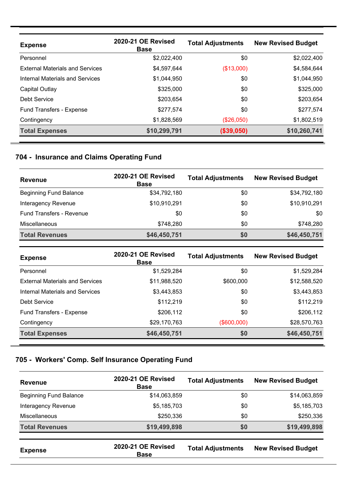| <b>Expense</b>                         | 2020-21 OE Revised<br><b>Base</b> | <b>Total Adjustments</b> | <b>New Revised Budget</b> |
|----------------------------------------|-----------------------------------|--------------------------|---------------------------|
| Personnel                              | \$2,022,400                       | \$0                      | \$2,022,400               |
| <b>External Materials and Services</b> | \$4,597,644                       | (\$13,000)               | \$4,584,644               |
| Internal Materials and Services        | \$1,044,950                       | \$0                      | \$1,044,950               |
| Capital Outlay                         | \$325,000                         | \$0                      | \$325,000                 |
| Debt Service                           | \$203,654                         | \$0                      | \$203,654                 |
| <b>Fund Transfers - Expense</b>        | \$277,574                         | \$0                      | \$277,574                 |
| Contingency                            | \$1,828,569                       | (\$26,050)               | \$1,802,519               |
| <b>Total Expenses</b>                  | \$10,299,791                      | (\$39,050)               | \$10,260,741              |

# **704 - Insurance and Claims Operating Fund**

| <b>Revenue</b>                  | 2020-21 OE Revised<br><b>Base</b> | <b>Total Adjustments</b> | <b>New Revised Budget</b> |
|---------------------------------|-----------------------------------|--------------------------|---------------------------|
| <b>Beginning Fund Balance</b>   | \$34,792,180                      | \$0                      | \$34,792,180              |
| Interagency Revenue             | \$10,910,291                      | \$0                      | \$10,910,291              |
| <b>Fund Transfers - Revenue</b> | \$0                               | \$0                      | \$0                       |
| <b>Miscellaneous</b>            | \$748.280                         | \$0                      | \$748,280                 |
| <b>Total Revenues</b>           | \$46,450,751                      | \$0                      | \$46,450,751              |

| <b>Expense</b>                         | 2020-21 OE Revised<br><b>Base</b> | <b>Total Adjustments</b> | <b>New Revised Budget</b> |
|----------------------------------------|-----------------------------------|--------------------------|---------------------------|
| Personnel                              | \$1,529,284                       | \$0                      | \$1,529,284               |
| <b>External Materials and Services</b> | \$11,988,520                      | \$600,000                | \$12,588,520              |
| <b>Internal Materials and Services</b> | \$3,443,853                       | \$0                      | \$3,443,853               |
| Debt Service                           | \$112,219                         | \$0                      | \$112,219                 |
| Fund Transfers - Expense               | \$206,112                         | \$0                      | \$206,112                 |
| Contingency                            | \$29,170,763                      | (\$600,000)              | \$28,570,763              |
| <b>Total Expenses</b>                  | \$46,450,751                      | \$0                      | \$46,450,751              |

### **705 - Workers' Comp. Self Insurance Operating Fund**

| <b>Revenue</b>                | 2020-21 OE Revised<br><b>Base</b> | <b>Total Adjustments</b> | <b>New Revised Budget</b> |
|-------------------------------|-----------------------------------|--------------------------|---------------------------|
| <b>Beginning Fund Balance</b> | \$14,063,859                      | \$0                      | \$14,063,859              |
| Interagency Revenue           | \$5,185,703                       | \$0                      | \$5,185,703               |
| Miscellaneous                 | \$250,336                         | \$0                      | \$250,336                 |
| <b>Total Revenues</b>         | \$19,499,898                      | \$0                      | \$19,499,898              |
| <b>Expense</b>                | 2020-21 OE Revised<br><b>Base</b> | <b>Total Adjustments</b> | <b>New Revised Budget</b> |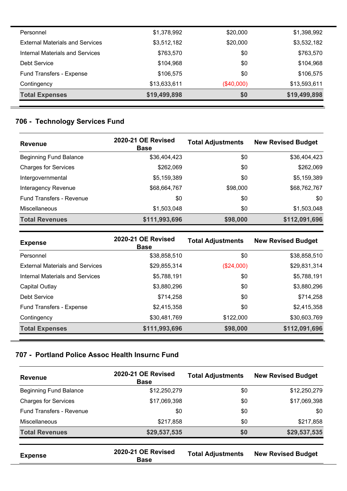| Personnel                              | \$1,378,992  | \$20,000   | \$1,398,992  |
|----------------------------------------|--------------|------------|--------------|
| <b>External Materials and Services</b> | \$3,512,182  | \$20,000   | \$3,532,182  |
| Internal Materials and Services        | \$763,570    | \$0        | \$763,570    |
| Debt Service                           | \$104,968    | \$0        | \$104,968    |
| Fund Transfers - Expense               | \$106,575    | \$0        | \$106,575    |
| Contingency                            | \$13,633,611 | (\$40,000) | \$13,593,611 |
| <b>Total Expenses</b>                  | \$19,499,898 | \$0        | \$19,499,898 |

# **706 - Technology Services Fund**

| <b>Revenue</b>                  | 2020-21 OE Revised<br><b>Base</b> | <b>Total Adjustments</b> | <b>New Revised Budget</b> |
|---------------------------------|-----------------------------------|--------------------------|---------------------------|
| <b>Beginning Fund Balance</b>   | \$36,404,423                      | \$0                      | \$36,404,423              |
| <b>Charges for Services</b>     | \$262,069                         | \$0                      | \$262,069                 |
| Intergovernmental               | \$5,159,389                       | \$0                      | \$5,159,389               |
| Interagency Revenue             | \$68,664,767                      | \$98,000                 | \$68,762,767              |
| <b>Fund Transfers - Revenue</b> | \$0                               | \$0                      | \$0                       |
| <b>Miscellaneous</b>            | \$1,503,048                       | \$0                      | \$1,503,048               |
| <b>Total Revenues</b>           | \$111,993,696                     | \$98,000                 | \$112,091,696             |

| <b>Expense</b>                         | 2020-21 OE Revised<br><b>Base</b> | <b>Total Adjustments</b> | <b>New Revised Budget</b> |
|----------------------------------------|-----------------------------------|--------------------------|---------------------------|
| Personnel                              | \$38,858,510                      | \$0                      | \$38,858,510              |
| <b>External Materials and Services</b> | \$29,855,314                      | $(\$24,000)$             | \$29,831,314              |
| Internal Materials and Services        | \$5,788,191                       | \$0                      | \$5,788,191               |
| Capital Outlay                         | \$3,880,296                       | \$0                      | \$3,880,296               |
| Debt Service                           | \$714,258                         | \$0                      | \$714,258                 |
| Fund Transfers - Expense               | \$2,415,358                       | \$0                      | \$2,415,358               |
| Contingency                            | \$30,481,769                      | \$122,000                | \$30,603,769              |
| <b>Total Expenses</b>                  | \$111,993,696                     | \$98,000                 | \$112,091,696             |

### **707 - Portland Police Assoc Health Insurnc Fund**

| <b>Revenue</b>                  | 2020-21 OE Revised<br><b>Base</b> | <b>Total Adjustments</b> | <b>New Revised Budget</b> |
|---------------------------------|-----------------------------------|--------------------------|---------------------------|
| <b>Beginning Fund Balance</b>   | \$12,250,279                      | \$0                      | \$12,250,279              |
| <b>Charges for Services</b>     | \$17,069,398                      | \$0                      | \$17,069,398              |
| <b>Fund Transfers - Revenue</b> | \$0                               | \$0                      | \$0                       |
| Miscellaneous                   | \$217,858                         | \$0                      | \$217,858                 |
| <b>Total Revenues</b>           | \$29,537,535                      | \$0                      | \$29,537,535              |
| <b>Expense</b>                  | 2020-21 OE Revised<br><b>Base</b> | <b>Total Adjustments</b> | <b>New Revised Budget</b> |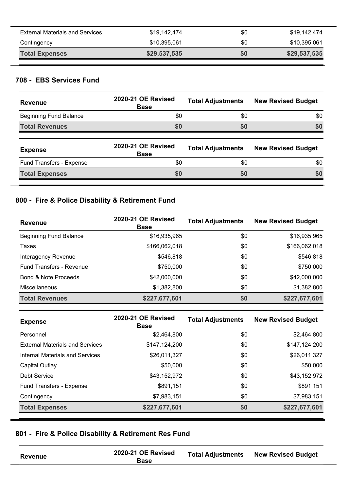| <b>External Materials and Services</b> | \$19,142,474 | \$0 | \$19,142,474 |
|----------------------------------------|--------------|-----|--------------|
| Contingency                            | \$10,395,061 | \$0 | \$10,395,061 |
| <b>Total Expenses</b>                  | \$29,537,535 | \$0 | \$29,537,535 |

#### **708 - EBS Services Fund**

| <b>Revenue</b>                | 2020-21 OE Revised<br><b>Base</b>        | <b>Total Adjustments</b> | <b>New Revised Budget</b> |
|-------------------------------|------------------------------------------|--------------------------|---------------------------|
| <b>Beginning Fund Balance</b> | \$0                                      | \$0                      | \$0                       |
| <b>Total Revenues</b>         | \$0                                      | \$0                      | \$0                       |
|                               |                                          |                          |                           |
| <b>Expense</b>                | <b>2020-21 OE Revised</b><br><b>Base</b> | <b>Total Adjustments</b> | <b>New Revised Budget</b> |
| Fund Transfers - Expense      | \$0                                      | \$0                      | \$0                       |

#### **800 - Fire & Police Disability & Retirement Fund**

| <b>Revenue</b>                  | 2020-21 OE Revised<br><b>Base</b> | <b>Total Adjustments</b> | <b>New Revised Budget</b> |
|---------------------------------|-----------------------------------|--------------------------|---------------------------|
| <b>Beginning Fund Balance</b>   | \$16,935,965                      | \$0                      | \$16,935,965              |
| Taxes                           | \$166,062,018                     | \$0                      | \$166,062,018             |
| Interagency Revenue             | \$546,818                         | \$0                      | \$546,818                 |
| <b>Fund Transfers - Revenue</b> | \$750,000                         | \$0                      | \$750,000                 |
| Bond & Note Proceeds            | \$42,000,000                      | \$0                      | \$42,000,000              |
| <b>Miscellaneous</b>            | \$1,382,800                       | \$0                      | \$1,382,800               |
| <b>Total Revenues</b>           | \$227,677,601                     | \$0                      | \$227,677,601             |

| <b>Expense</b>                         | 2020-21 OE Revised<br><b>Base</b> | <b>Total Adjustments</b> | <b>New Revised Budget</b> |
|----------------------------------------|-----------------------------------|--------------------------|---------------------------|
| Personnel                              | \$2,464,800                       | \$0                      | \$2,464,800               |
| <b>External Materials and Services</b> | \$147,124,200                     | \$0                      | \$147,124,200             |
| Internal Materials and Services        | \$26,011,327                      | \$0                      | \$26,011,327              |
| Capital Outlay                         | \$50,000                          | \$0                      | \$50,000                  |
| Debt Service                           | \$43,152,972                      | \$0                      | \$43,152,972              |
| Fund Transfers - Expense               | \$891,151                         | \$0                      | \$891,151                 |
| Contingency                            | \$7,983,151                       | \$0                      | \$7,983,151               |
| <b>Total Expenses</b>                  | \$227,677,601                     | \$0                      | \$227,677,601             |

# **801 - Fire & Police Disability & Retirement Res Fund**

| <b>Revenue</b> | 2020-21 OE Revised<br><b>Base</b> | <b>Total Adjustments</b> | <b>New Revised Budget</b> |
|----------------|-----------------------------------|--------------------------|---------------------------|
|                |                                   |                          |                           |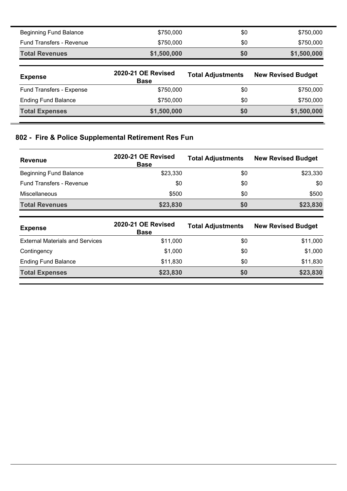| <b>Beginning Fund Balance</b>   | \$750,000                         | \$0                      | \$750,000                 |
|---------------------------------|-----------------------------------|--------------------------|---------------------------|
| <b>Fund Transfers - Revenue</b> | \$750,000                         | \$0                      | \$750,000                 |
| <b>Total Revenues</b>           | \$1,500,000                       | \$0                      | \$1,500,000               |
|                                 |                                   |                          |                           |
|                                 |                                   |                          |                           |
| <b>Expense</b>                  | 2020-21 OE Revised<br><b>Base</b> | <b>Total Adjustments</b> | <b>New Revised Budget</b> |
| Fund Transfers - Expense        | \$750,000                         | \$0                      | \$750,000                 |
| <b>Ending Fund Balance</b>      | \$750,000                         | \$0                      | \$750,000                 |

### **802 - Fire & Police Supplemental Retirement Res Fun**

| <b>Revenue</b>                  | 2020-21 OE Revised<br><b>Base</b> | <b>Total Adjustments</b> | <b>New Revised Budget</b> |
|---------------------------------|-----------------------------------|--------------------------|---------------------------|
| <b>Beginning Fund Balance</b>   | \$23,330                          | \$0                      | \$23,330                  |
| <b>Fund Transfers - Revenue</b> | \$0                               | \$0                      | \$0                       |
| <b>Miscellaneous</b>            | \$500                             | \$0                      | \$500                     |
| <b>Total Revenues</b>           | \$23,830                          | \$0                      | \$23,830                  |

| <b>Expense</b>                         | <b>2020-21 OE Revised</b><br><b>Base</b> | <b>Total Adjustments</b> | <b>New Revised Budget</b> |
|----------------------------------------|------------------------------------------|--------------------------|---------------------------|
| <b>External Materials and Services</b> | \$11,000                                 | \$0                      | \$11,000                  |
| Contingency                            | \$1,000                                  | \$0                      | \$1,000                   |
| <b>Ending Fund Balance</b>             | \$11.830                                 | \$0                      | \$11,830                  |
| <b>Total Expenses</b>                  | \$23,830                                 | <b>SO</b>                | \$23,830                  |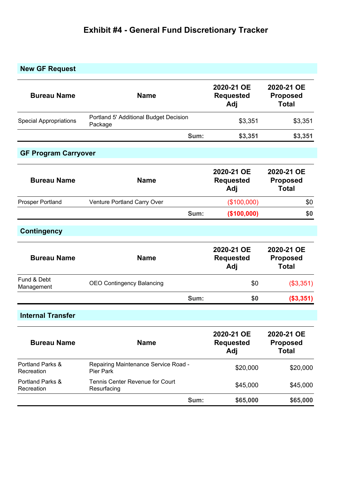# **Exhibit #4 - General Fund Discretionary Tracker**

# **New GF Request**

| <b>Bureau Name</b>             | <b>Name</b>                                       |      | 2020-21 OE<br><b>Requested</b><br>Adj | 2020-21 OE<br><b>Proposed</b><br><b>Total</b> |  |
|--------------------------------|---------------------------------------------------|------|---------------------------------------|-----------------------------------------------|--|
| <b>Special Appropriations</b>  | Portland 5' Additional Budget Decision<br>Package |      | \$3,351                               | \$3,351                                       |  |
|                                |                                                   | Sum: | \$3,351                               | \$3,351                                       |  |
| <b>GF Program Carryover</b>    |                                                   |      |                                       |                                               |  |
| <b>Bureau Name</b>             | <b>Name</b>                                       |      | 2020-21 OE<br><b>Requested</b><br>Adj | 2020-21 OE<br><b>Proposed</b><br><b>Total</b> |  |
| <b>Prosper Portland</b>        | Venture Portland Carry Over                       |      | (\$100,000)                           | \$0                                           |  |
|                                |                                                   | Sum: | (\$100,000)                           | \$0                                           |  |
| <b>Contingency</b>             |                                                   |      |                                       |                                               |  |
| <b>Bureau Name</b>             | <b>Name</b>                                       |      | 2020-21 OE<br><b>Requested</b><br>Adj | 2020-21 OE<br><b>Proposed</b><br><b>Total</b> |  |
| Fund & Debt<br>Management      | <b>OEO Contingency Balancing</b>                  |      | \$0                                   | (\$3,351)                                     |  |
|                                |                                                   | Sum: | \$0                                   | (\$3,351)                                     |  |
| <b>Internal Transfer</b>       |                                                   |      |                                       |                                               |  |
| <b>Bureau Name</b>             | <b>Name</b>                                       |      | 2020-21 OE<br><b>Requested</b><br>Adj | 2020-21 OE<br><b>Proposed</b><br><b>Total</b> |  |
| Portland Parks &<br>Recreation | Repairing Maintenance Service Road -<br>Pier Park |      | \$20,000                              | \$20,000                                      |  |
| Portland Parks &<br>Recreation | Tennis Center Revenue for Court<br>Resurfacing    |      | \$45,000                              | \$45,000                                      |  |
|                                |                                                   | Sum: | \$65,000                              | \$65,000                                      |  |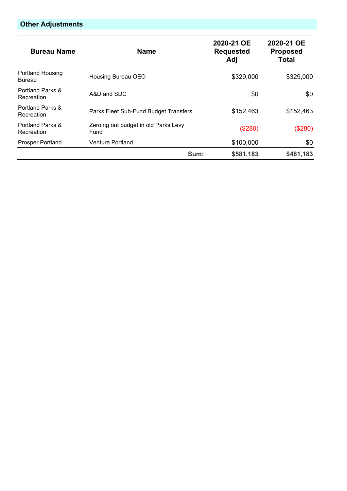# **Other Adjustments**

| <b>Bureau Name</b>                | <b>Name</b>                                  | 2020-21 OE<br><b>Requested</b><br>Adj | 2020-21 OE<br><b>Proposed</b><br>Total |
|-----------------------------------|----------------------------------------------|---------------------------------------|----------------------------------------|
| Portland Housing<br><b>Bureau</b> | Housing Bureau OEO                           | \$329,000                             | \$329,000                              |
| Portland Parks &<br>Recreation    | A&D and SDC                                  | \$0                                   | \$0                                    |
| Portland Parks &<br>Recreation    | Parks Fleet Sub-Fund Budget Transfers        | \$152,463                             | \$152,463                              |
| Portland Parks &<br>Recreation    | Zeroing out budget in old Parks Levy<br>Fund | (\$280)                               | (\$280)                                |
| <b>Prosper Portland</b>           | <b>Venture Portland</b>                      | \$100,000                             | \$0                                    |
|                                   | Sum:                                         | \$581,183                             | \$481,183                              |